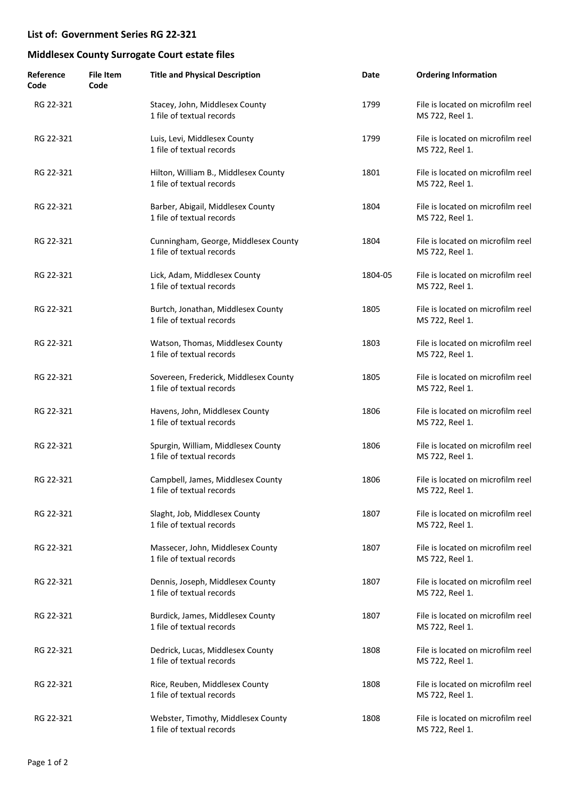| Reference<br>Code | <b>File Item</b><br>Code | <b>Title and Physical Description</b>                              | Date    | <b>Ordering Information</b>                          |
|-------------------|--------------------------|--------------------------------------------------------------------|---------|------------------------------------------------------|
| RG 22-321         |                          | Stacey, John, Middlesex County<br>1 file of textual records        | 1799    | File is located on microfilm reel<br>MS 722, Reel 1. |
| RG 22-321         |                          | Luis, Levi, Middlesex County<br>1 file of textual records          | 1799    | File is located on microfilm reel<br>MS 722, Reel 1. |
| RG 22-321         |                          | Hilton, William B., Middlesex County<br>1 file of textual records  | 1801    | File is located on microfilm reel<br>MS 722, Reel 1. |
| RG 22-321         |                          | Barber, Abigail, Middlesex County<br>1 file of textual records     | 1804    | File is located on microfilm reel<br>MS 722, Reel 1. |
| RG 22-321         |                          | Cunningham, George, Middlesex County<br>1 file of textual records  | 1804    | File is located on microfilm reel<br>MS 722, Reel 1. |
| RG 22-321         |                          | Lick, Adam, Middlesex County<br>1 file of textual records          | 1804-05 | File is located on microfilm reel<br>MS 722, Reel 1. |
| RG 22-321         |                          | Burtch, Jonathan, Middlesex County<br>1 file of textual records    | 1805    | File is located on microfilm reel<br>MS 722, Reel 1. |
| RG 22-321         |                          | Watson, Thomas, Middlesex County<br>1 file of textual records      | 1803    | File is located on microfilm reel<br>MS 722, Reel 1. |
| RG 22-321         |                          | Sovereen, Frederick, Middlesex County<br>1 file of textual records | 1805    | File is located on microfilm reel<br>MS 722, Reel 1. |
| RG 22-321         |                          | Havens, John, Middlesex County<br>1 file of textual records        | 1806    | File is located on microfilm reel<br>MS 722, Reel 1. |
| RG 22-321         |                          | Spurgin, William, Middlesex County<br>1 file of textual records    | 1806    | File is located on microfilm reel<br>MS 722, Reel 1. |
| RG 22-321         |                          | Campbell, James, Middlesex County<br>1 file of textual records     | 1806    | File is located on microfilm reel<br>MS 722, Reel 1. |
| RG 22-321         |                          | Slaght, Job, Middlesex County<br>1 file of textual records         | 1807    | File is located on microfilm reel<br>MS 722, Reel 1. |
| RG 22-321         |                          | Massecer, John, Middlesex County<br>1 file of textual records      | 1807    | File is located on microfilm reel<br>MS 722, Reel 1. |
| RG 22-321         |                          | Dennis, Joseph, Middlesex County<br>1 file of textual records      | 1807    | File is located on microfilm reel<br>MS 722, Reel 1. |
| RG 22-321         |                          | Burdick, James, Middlesex County<br>1 file of textual records      | 1807    | File is located on microfilm reel<br>MS 722, Reel 1. |
| RG 22-321         |                          | Dedrick, Lucas, Middlesex County<br>1 file of textual records      | 1808    | File is located on microfilm reel<br>MS 722, Reel 1. |
| RG 22-321         |                          | Rice, Reuben, Middlesex County<br>1 file of textual records        | 1808    | File is located on microfilm reel<br>MS 722, Reel 1. |
| RG 22-321         |                          | Webster, Timothy, Middlesex County<br>1 file of textual records    | 1808    | File is located on microfilm reel<br>MS 722, Reel 1. |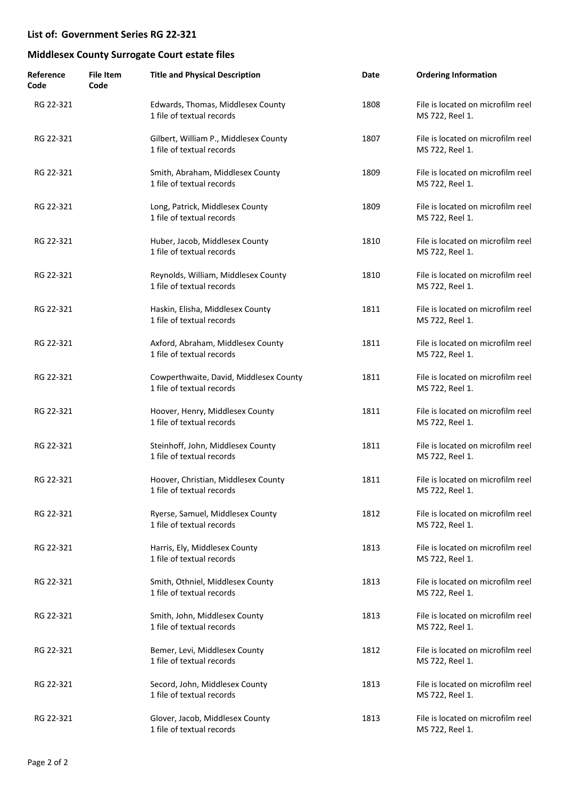| Reference<br>Code | <b>File Item</b><br>Code | <b>Title and Physical Description</b>                               | Date | <b>Ordering Information</b>                          |
|-------------------|--------------------------|---------------------------------------------------------------------|------|------------------------------------------------------|
| RG 22-321         |                          | Edwards, Thomas, Middlesex County<br>1 file of textual records      | 1808 | File is located on microfilm reel<br>MS 722, Reel 1. |
| RG 22-321         |                          | Gilbert, William P., Middlesex County<br>1 file of textual records  | 1807 | File is located on microfilm reel<br>MS 722, Reel 1. |
| RG 22-321         |                          | Smith, Abraham, Middlesex County<br>1 file of textual records       | 1809 | File is located on microfilm reel<br>MS 722, Reel 1. |
| RG 22-321         |                          | Long, Patrick, Middlesex County<br>1 file of textual records        | 1809 | File is located on microfilm reel<br>MS 722, Reel 1. |
| RG 22-321         |                          | Huber, Jacob, Middlesex County<br>1 file of textual records         | 1810 | File is located on microfilm reel<br>MS 722, Reel 1. |
| RG 22-321         |                          | Reynolds, William, Middlesex County<br>1 file of textual records    | 1810 | File is located on microfilm reel<br>MS 722, Reel 1. |
| RG 22-321         |                          | Haskin, Elisha, Middlesex County<br>1 file of textual records       | 1811 | File is located on microfilm reel<br>MS 722, Reel 1. |
| RG 22-321         |                          | Axford, Abraham, Middlesex County<br>1 file of textual records      | 1811 | File is located on microfilm reel<br>MS 722, Reel 1. |
| RG 22-321         |                          | Cowperthwaite, David, Middlesex County<br>1 file of textual records | 1811 | File is located on microfilm reel<br>MS 722, Reel 1. |
| RG 22-321         |                          | Hoover, Henry, Middlesex County<br>1 file of textual records        | 1811 | File is located on microfilm reel<br>MS 722, Reel 1. |
| RG 22-321         |                          | Steinhoff, John, Middlesex County<br>1 file of textual records      | 1811 | File is located on microfilm reel<br>MS 722, Reel 1. |
| RG 22-321         |                          | Hoover, Christian, Middlesex County<br>1 file of textual records    | 1811 | File is located on microfilm reel<br>MS 722, Reel 1. |
| RG 22-321         |                          | Ryerse, Samuel, Middlesex County<br>1 file of textual records       | 1812 | File is located on microfilm reel<br>MS 722, Reel 1. |
| RG 22-321         |                          | Harris, Ely, Middlesex County<br>1 file of textual records          | 1813 | File is located on microfilm reel<br>MS 722, Reel 1. |
| RG 22-321         |                          | Smith, Othniel, Middlesex County<br>1 file of textual records       | 1813 | File is located on microfilm reel<br>MS 722, Reel 1. |
| RG 22-321         |                          | Smith, John, Middlesex County<br>1 file of textual records          | 1813 | File is located on microfilm reel<br>MS 722, Reel 1. |
| RG 22-321         |                          | Bemer, Levi, Middlesex County<br>1 file of textual records          | 1812 | File is located on microfilm reel<br>MS 722, Reel 1. |
| RG 22-321         |                          | Secord, John, Middlesex County<br>1 file of textual records         | 1813 | File is located on microfilm reel<br>MS 722, Reel 1. |
| RG 22-321         |                          | Glover, Jacob, Middlesex County<br>1 file of textual records        | 1813 | File is located on microfilm reel<br>MS 722, Reel 1. |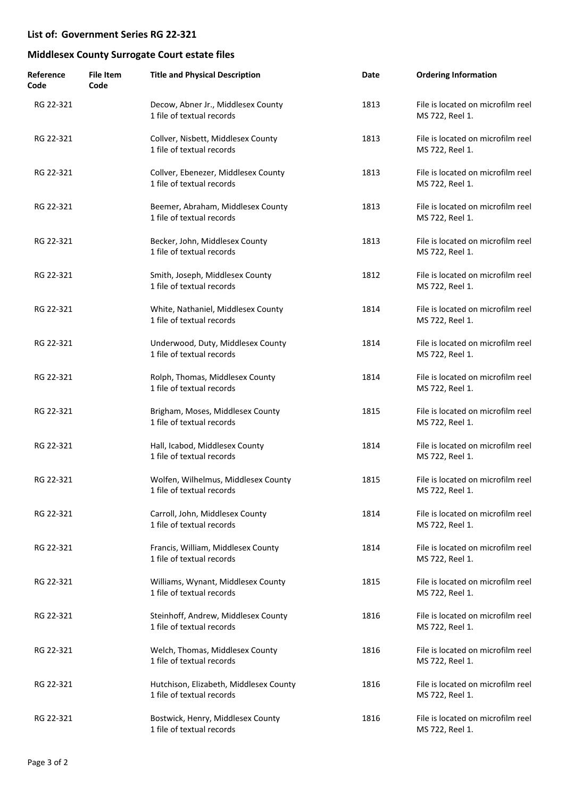| Reference<br>Code | <b>File Item</b><br>Code | <b>Title and Physical Description</b>                               | Date | <b>Ordering Information</b>                          |
|-------------------|--------------------------|---------------------------------------------------------------------|------|------------------------------------------------------|
| RG 22-321         |                          | Decow, Abner Jr., Middlesex County<br>1 file of textual records     | 1813 | File is located on microfilm reel<br>MS 722, Reel 1. |
| RG 22-321         |                          | Collver, Nisbett, Middlesex County<br>1 file of textual records     | 1813 | File is located on microfilm reel<br>MS 722, Reel 1. |
| RG 22-321         |                          | Collver, Ebenezer, Middlesex County<br>1 file of textual records    | 1813 | File is located on microfilm reel<br>MS 722, Reel 1. |
| RG 22-321         |                          | Beemer, Abraham, Middlesex County<br>1 file of textual records      | 1813 | File is located on microfilm reel<br>MS 722, Reel 1. |
| RG 22-321         |                          | Becker, John, Middlesex County<br>1 file of textual records         | 1813 | File is located on microfilm reel<br>MS 722, Reel 1. |
| RG 22-321         |                          | Smith, Joseph, Middlesex County<br>1 file of textual records        | 1812 | File is located on microfilm reel<br>MS 722, Reel 1. |
| RG 22-321         |                          | White, Nathaniel, Middlesex County<br>1 file of textual records     | 1814 | File is located on microfilm reel<br>MS 722, Reel 1. |
| RG 22-321         |                          | Underwood, Duty, Middlesex County<br>1 file of textual records      | 1814 | File is located on microfilm reel<br>MS 722, Reel 1. |
| RG 22-321         |                          | Rolph, Thomas, Middlesex County<br>1 file of textual records        | 1814 | File is located on microfilm reel<br>MS 722, Reel 1. |
| RG 22-321         |                          | Brigham, Moses, Middlesex County<br>1 file of textual records       | 1815 | File is located on microfilm reel<br>MS 722, Reel 1. |
| RG 22-321         |                          | Hall, Icabod, Middlesex County<br>1 file of textual records         | 1814 | File is located on microfilm reel<br>MS 722, Reel 1. |
| RG 22-321         |                          | Wolfen, Wilhelmus, Middlesex County<br>1 file of textual records    | 1815 | File is located on microfilm reel<br>MS 722, Reel 1. |
| RG 22-321         |                          | Carroll, John, Middlesex County<br>1 file of textual records        | 1814 | File is located on microfilm reel<br>MS 722, Reel 1. |
| RG 22-321         |                          | Francis, William, Middlesex County<br>1 file of textual records     | 1814 | File is located on microfilm reel<br>MS 722, Reel 1. |
| RG 22-321         |                          | Williams, Wynant, Middlesex County<br>1 file of textual records     | 1815 | File is located on microfilm reel<br>MS 722, Reel 1. |
| RG 22-321         |                          | Steinhoff, Andrew, Middlesex County<br>1 file of textual records    | 1816 | File is located on microfilm reel<br>MS 722, Reel 1. |
| RG 22-321         |                          | Welch, Thomas, Middlesex County<br>1 file of textual records        | 1816 | File is located on microfilm reel<br>MS 722, Reel 1. |
| RG 22-321         |                          | Hutchison, Elizabeth, Middlesex County<br>1 file of textual records | 1816 | File is located on microfilm reel<br>MS 722, Reel 1. |
| RG 22-321         |                          | Bostwick, Henry, Middlesex County<br>1 file of textual records      | 1816 | File is located on microfilm reel<br>MS 722, Reel 1. |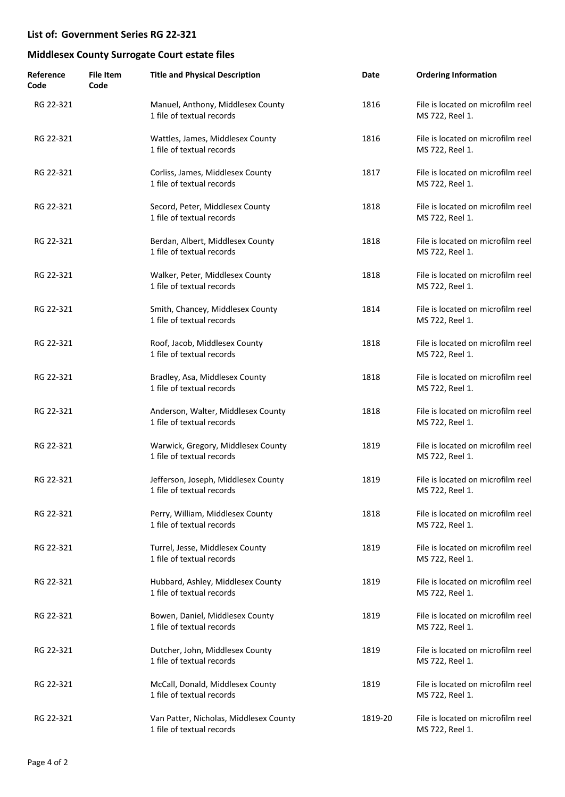| Reference<br>Code | <b>File Item</b><br>Code | <b>Title and Physical Description</b>                               | Date    | <b>Ordering Information</b>                          |
|-------------------|--------------------------|---------------------------------------------------------------------|---------|------------------------------------------------------|
| RG 22-321         |                          | Manuel, Anthony, Middlesex County<br>1 file of textual records      | 1816    | File is located on microfilm reel<br>MS 722, Reel 1. |
| RG 22-321         |                          | Wattles, James, Middlesex County<br>1 file of textual records       | 1816    | File is located on microfilm reel<br>MS 722, Reel 1. |
| RG 22-321         |                          | Corliss, James, Middlesex County<br>1 file of textual records       | 1817    | File is located on microfilm reel<br>MS 722, Reel 1. |
| RG 22-321         |                          | Secord, Peter, Middlesex County<br>1 file of textual records        | 1818    | File is located on microfilm reel<br>MS 722, Reel 1. |
| RG 22-321         |                          | Berdan, Albert, Middlesex County<br>1 file of textual records       | 1818    | File is located on microfilm reel<br>MS 722, Reel 1. |
| RG 22-321         |                          | Walker, Peter, Middlesex County<br>1 file of textual records        | 1818    | File is located on microfilm reel<br>MS 722, Reel 1. |
| RG 22-321         |                          | Smith, Chancey, Middlesex County<br>1 file of textual records       | 1814    | File is located on microfilm reel<br>MS 722, Reel 1. |
| RG 22-321         |                          | Roof, Jacob, Middlesex County<br>1 file of textual records          | 1818    | File is located on microfilm reel<br>MS 722, Reel 1. |
| RG 22-321         |                          | Bradley, Asa, Middlesex County<br>1 file of textual records         | 1818    | File is located on microfilm reel<br>MS 722, Reel 1. |
| RG 22-321         |                          | Anderson, Walter, Middlesex County<br>1 file of textual records     | 1818    | File is located on microfilm reel<br>MS 722, Reel 1. |
| RG 22-321         |                          | Warwick, Gregory, Middlesex County<br>1 file of textual records     | 1819    | File is located on microfilm reel<br>MS 722, Reel 1. |
| RG 22-321         |                          | Jefferson, Joseph, Middlesex County<br>1 file of textual records    | 1819    | File is located on microfilm reel<br>MS 722, Reel 1. |
| RG 22-321         |                          | Perry, William, Middlesex County<br>1 file of textual records       | 1818    | File is located on microfilm reel<br>MS 722, Reel 1. |
| RG 22-321         |                          | Turrel, Jesse, Middlesex County<br>1 file of textual records        | 1819    | File is located on microfilm reel<br>MS 722, Reel 1. |
| RG 22-321         |                          | Hubbard, Ashley, Middlesex County<br>1 file of textual records      | 1819    | File is located on microfilm reel<br>MS 722, Reel 1. |
| RG 22-321         |                          | Bowen, Daniel, Middlesex County<br>1 file of textual records        | 1819    | File is located on microfilm reel<br>MS 722, Reel 1. |
| RG 22-321         |                          | Dutcher, John, Middlesex County<br>1 file of textual records        | 1819    | File is located on microfilm reel<br>MS 722, Reel 1. |
| RG 22-321         |                          | McCall, Donald, Middlesex County<br>1 file of textual records       | 1819    | File is located on microfilm reel<br>MS 722, Reel 1. |
| RG 22-321         |                          | Van Patter, Nicholas, Middlesex County<br>1 file of textual records | 1819-20 | File is located on microfilm reel<br>MS 722, Reel 1. |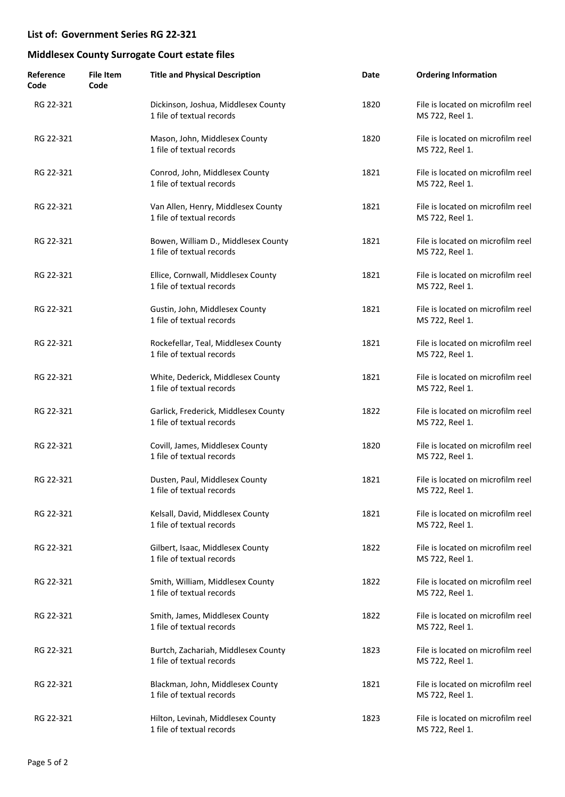| Reference<br>Code | <b>File Item</b><br>Code | <b>Title and Physical Description</b>                             | Date | <b>Ordering Information</b>                          |
|-------------------|--------------------------|-------------------------------------------------------------------|------|------------------------------------------------------|
| RG 22-321         |                          | Dickinson, Joshua, Middlesex County<br>1 file of textual records  | 1820 | File is located on microfilm reel<br>MS 722, Reel 1. |
| RG 22-321         |                          | Mason, John, Middlesex County<br>1 file of textual records        | 1820 | File is located on microfilm reel<br>MS 722, Reel 1. |
| RG 22-321         |                          | Conrod, John, Middlesex County<br>1 file of textual records       | 1821 | File is located on microfilm reel<br>MS 722, Reel 1. |
| RG 22-321         |                          | Van Allen, Henry, Middlesex County<br>1 file of textual records   | 1821 | File is located on microfilm reel<br>MS 722, Reel 1. |
| RG 22-321         |                          | Bowen, William D., Middlesex County<br>1 file of textual records  | 1821 | File is located on microfilm reel<br>MS 722, Reel 1. |
| RG 22-321         |                          | Ellice, Cornwall, Middlesex County<br>1 file of textual records   | 1821 | File is located on microfilm reel<br>MS 722, Reel 1. |
| RG 22-321         |                          | Gustin, John, Middlesex County<br>1 file of textual records       | 1821 | File is located on microfilm reel<br>MS 722, Reel 1. |
| RG 22-321         |                          | Rockefellar, Teal, Middlesex County<br>1 file of textual records  | 1821 | File is located on microfilm reel<br>MS 722, Reel 1. |
| RG 22-321         |                          | White, Dederick, Middlesex County<br>1 file of textual records    | 1821 | File is located on microfilm reel<br>MS 722, Reel 1. |
| RG 22-321         |                          | Garlick, Frederick, Middlesex County<br>1 file of textual records | 1822 | File is located on microfilm reel<br>MS 722, Reel 1. |
| RG 22-321         |                          | Covill, James, Middlesex County<br>1 file of textual records      | 1820 | File is located on microfilm reel<br>MS 722, Reel 1. |
| RG 22-321         |                          | Dusten, Paul, Middlesex County<br>1 file of textual records       | 1821 | File is located on microfilm reel<br>MS 722, Reel 1. |
| RG 22-321         |                          | Kelsall, David, Middlesex County<br>1 file of textual records     | 1821 | File is located on microfilm reel<br>MS 722, Reel 1. |
| RG 22-321         |                          | Gilbert, Isaac, Middlesex County<br>1 file of textual records     | 1822 | File is located on microfilm reel<br>MS 722, Reel 1. |
| RG 22-321         |                          | Smith, William, Middlesex County<br>1 file of textual records     | 1822 | File is located on microfilm reel<br>MS 722, Reel 1. |
| RG 22-321         |                          | Smith, James, Middlesex County<br>1 file of textual records       | 1822 | File is located on microfilm reel<br>MS 722, Reel 1. |
| RG 22-321         |                          | Burtch, Zachariah, Middlesex County<br>1 file of textual records  | 1823 | File is located on microfilm reel<br>MS 722, Reel 1. |
| RG 22-321         |                          | Blackman, John, Middlesex County<br>1 file of textual records     | 1821 | File is located on microfilm reel<br>MS 722, Reel 1. |
| RG 22-321         |                          | Hilton, Levinah, Middlesex County<br>1 file of textual records    | 1823 | File is located on microfilm reel<br>MS 722, Reel 1. |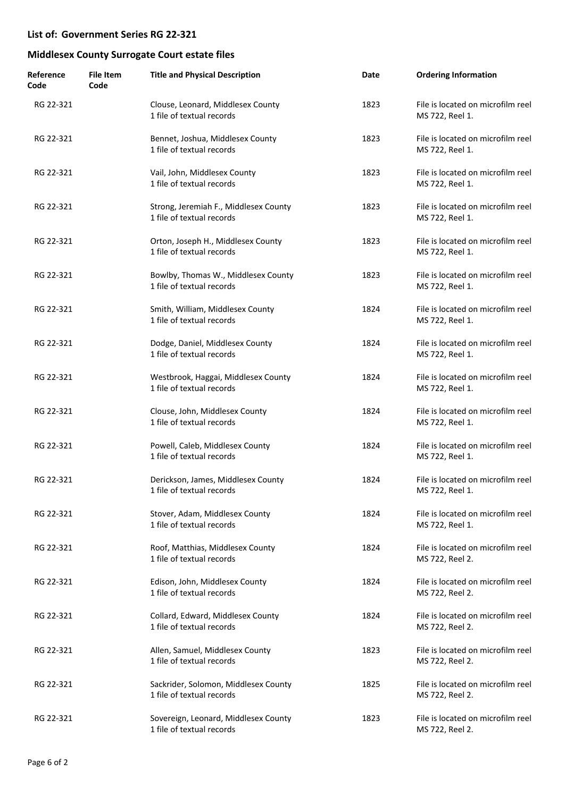| Reference<br>Code | <b>File Item</b><br>Code | <b>Title and Physical Description</b>                              | Date | <b>Ordering Information</b>                          |
|-------------------|--------------------------|--------------------------------------------------------------------|------|------------------------------------------------------|
| RG 22-321         |                          | Clouse, Leonard, Middlesex County<br>1 file of textual records     | 1823 | File is located on microfilm reel<br>MS 722, Reel 1. |
| RG 22-321         |                          | Bennet, Joshua, Middlesex County<br>1 file of textual records      | 1823 | File is located on microfilm reel<br>MS 722, Reel 1. |
| RG 22-321         |                          | Vail, John, Middlesex County<br>1 file of textual records          | 1823 | File is located on microfilm reel<br>MS 722, Reel 1. |
| RG 22-321         |                          | Strong, Jeremiah F., Middlesex County<br>1 file of textual records | 1823 | File is located on microfilm reel<br>MS 722, Reel 1. |
| RG 22-321         |                          | Orton, Joseph H., Middlesex County<br>1 file of textual records    | 1823 | File is located on microfilm reel<br>MS 722, Reel 1. |
| RG 22-321         |                          | Bowlby, Thomas W., Middlesex County<br>1 file of textual records   | 1823 | File is located on microfilm reel<br>MS 722, Reel 1. |
| RG 22-321         |                          | Smith, William, Middlesex County<br>1 file of textual records      | 1824 | File is located on microfilm reel<br>MS 722, Reel 1. |
| RG 22-321         |                          | Dodge, Daniel, Middlesex County<br>1 file of textual records       | 1824 | File is located on microfilm reel<br>MS 722, Reel 1. |
| RG 22-321         |                          | Westbrook, Haggai, Middlesex County<br>1 file of textual records   | 1824 | File is located on microfilm reel<br>MS 722, Reel 1. |
| RG 22-321         |                          | Clouse, John, Middlesex County<br>1 file of textual records        | 1824 | File is located on microfilm reel<br>MS 722, Reel 1. |
| RG 22-321         |                          | Powell, Caleb, Middlesex County<br>1 file of textual records       | 1824 | File is located on microfilm reel<br>MS 722, Reel 1. |
| RG 22-321         |                          | Derickson, James, Middlesex County<br>1 file of textual records    | 1824 | File is located on microfilm reel<br>MS 722, Reel 1. |
| RG 22-321         |                          | Stover, Adam, Middlesex County<br>1 file of textual records        | 1824 | File is located on microfilm reel<br>MS 722, Reel 1. |
| RG 22-321         |                          | Roof, Matthias, Middlesex County<br>1 file of textual records      | 1824 | File is located on microfilm reel<br>MS 722, Reel 2. |
| RG 22-321         |                          | Edison, John, Middlesex County<br>1 file of textual records        | 1824 | File is located on microfilm reel<br>MS 722, Reel 2. |
| RG 22-321         |                          | Collard, Edward, Middlesex County<br>1 file of textual records     | 1824 | File is located on microfilm reel<br>MS 722, Reel 2. |
| RG 22-321         |                          | Allen, Samuel, Middlesex County<br>1 file of textual records       | 1823 | File is located on microfilm reel<br>MS 722, Reel 2. |
| RG 22-321         |                          | Sackrider, Solomon, Middlesex County<br>1 file of textual records  | 1825 | File is located on microfilm reel<br>MS 722, Reel 2. |
| RG 22-321         |                          | Sovereign, Leonard, Middlesex County<br>1 file of textual records  | 1823 | File is located on microfilm reel<br>MS 722, Reel 2. |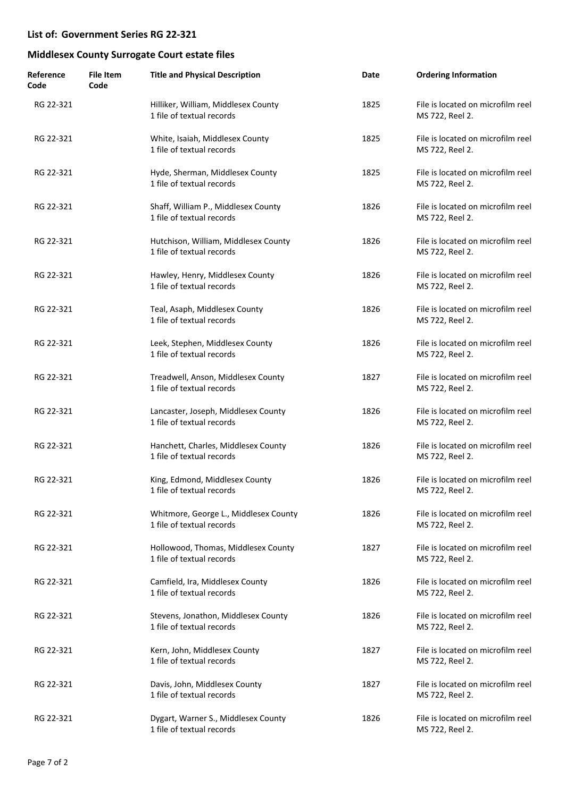| Reference<br>Code | <b>File Item</b><br>Code | <b>Title and Physical Description</b>                              | Date | <b>Ordering Information</b>                          |
|-------------------|--------------------------|--------------------------------------------------------------------|------|------------------------------------------------------|
| RG 22-321         |                          | Hilliker, William, Middlesex County<br>1 file of textual records   | 1825 | File is located on microfilm reel<br>MS 722, Reel 2. |
| RG 22-321         |                          | White, Isaiah, Middlesex County<br>1 file of textual records       | 1825 | File is located on microfilm reel<br>MS 722, Reel 2. |
| RG 22-321         |                          | Hyde, Sherman, Middlesex County<br>1 file of textual records       | 1825 | File is located on microfilm reel<br>MS 722, Reel 2. |
| RG 22-321         |                          | Shaff, William P., Middlesex County<br>1 file of textual records   | 1826 | File is located on microfilm reel<br>MS 722, Reel 2. |
| RG 22-321         |                          | Hutchison, William, Middlesex County<br>1 file of textual records  | 1826 | File is located on microfilm reel<br>MS 722, Reel 2. |
| RG 22-321         |                          | Hawley, Henry, Middlesex County<br>1 file of textual records       | 1826 | File is located on microfilm reel<br>MS 722, Reel 2. |
| RG 22-321         |                          | Teal, Asaph, Middlesex County<br>1 file of textual records         | 1826 | File is located on microfilm reel<br>MS 722, Reel 2. |
| RG 22-321         |                          | Leek, Stephen, Middlesex County<br>1 file of textual records       | 1826 | File is located on microfilm reel<br>MS 722, Reel 2. |
| RG 22-321         |                          | Treadwell, Anson, Middlesex County<br>1 file of textual records    | 1827 | File is located on microfilm reel<br>MS 722, Reel 2. |
| RG 22-321         |                          | Lancaster, Joseph, Middlesex County<br>1 file of textual records   | 1826 | File is located on microfilm reel<br>MS 722, Reel 2. |
| RG 22-321         |                          | Hanchett, Charles, Middlesex County<br>1 file of textual records   | 1826 | File is located on microfilm reel<br>MS 722, Reel 2. |
| RG 22-321         |                          | King, Edmond, Middlesex County<br>1 file of textual records        | 1826 | File is located on microfilm reel<br>MS 722, Reel 2. |
| RG 22-321         |                          | Whitmore, George L., Middlesex County<br>1 file of textual records | 1826 | File is located on microfilm reel<br>MS 722, Reel 2. |
| RG 22-321         |                          | Hollowood, Thomas, Middlesex County<br>1 file of textual records   | 1827 | File is located on microfilm reel<br>MS 722, Reel 2. |
| RG 22-321         |                          | Camfield, Ira, Middlesex County<br>1 file of textual records       | 1826 | File is located on microfilm reel<br>MS 722, Reel 2. |
| RG 22-321         |                          | Stevens, Jonathon, Middlesex County<br>1 file of textual records   | 1826 | File is located on microfilm reel<br>MS 722, Reel 2. |
| RG 22-321         |                          | Kern, John, Middlesex County<br>1 file of textual records          | 1827 | File is located on microfilm reel<br>MS 722, Reel 2. |
| RG 22-321         |                          | Davis, John, Middlesex County<br>1 file of textual records         | 1827 | File is located on microfilm reel<br>MS 722, Reel 2. |
| RG 22-321         |                          | Dygart, Warner S., Middlesex County<br>1 file of textual records   | 1826 | File is located on microfilm reel<br>MS 722, Reel 2. |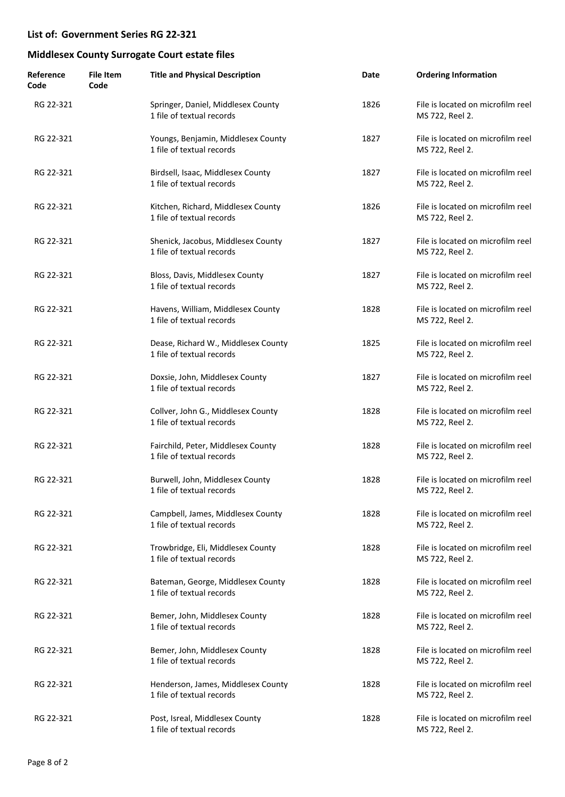| Reference<br>Code | <b>File Item</b><br>Code | <b>Title and Physical Description</b>                            | Date | <b>Ordering Information</b>                          |
|-------------------|--------------------------|------------------------------------------------------------------|------|------------------------------------------------------|
| RG 22-321         |                          | Springer, Daniel, Middlesex County<br>1 file of textual records  | 1826 | File is located on microfilm reel<br>MS 722, Reel 2. |
| RG 22-321         |                          | Youngs, Benjamin, Middlesex County<br>1 file of textual records  | 1827 | File is located on microfilm reel<br>MS 722, Reel 2. |
| RG 22-321         |                          | Birdsell, Isaac, Middlesex County<br>1 file of textual records   | 1827 | File is located on microfilm reel<br>MS 722, Reel 2. |
| RG 22-321         |                          | Kitchen, Richard, Middlesex County<br>1 file of textual records  | 1826 | File is located on microfilm reel<br>MS 722, Reel 2. |
| RG 22-321         |                          | Shenick, Jacobus, Middlesex County<br>1 file of textual records  | 1827 | File is located on microfilm reel<br>MS 722, Reel 2. |
| RG 22-321         |                          | Bloss, Davis, Middlesex County<br>1 file of textual records      | 1827 | File is located on microfilm reel<br>MS 722, Reel 2. |
| RG 22-321         |                          | Havens, William, Middlesex County<br>1 file of textual records   | 1828 | File is located on microfilm reel<br>MS 722, Reel 2. |
| RG 22-321         |                          | Dease, Richard W., Middlesex County<br>1 file of textual records | 1825 | File is located on microfilm reel<br>MS 722, Reel 2. |
| RG 22-321         |                          | Doxsie, John, Middlesex County<br>1 file of textual records      | 1827 | File is located on microfilm reel<br>MS 722, Reel 2. |
| RG 22-321         |                          | Collver, John G., Middlesex County<br>1 file of textual records  | 1828 | File is located on microfilm reel<br>MS 722, Reel 2. |
| RG 22-321         |                          | Fairchild, Peter, Middlesex County<br>1 file of textual records  | 1828 | File is located on microfilm reel<br>MS 722, Reel 2. |
| RG 22-321         |                          | Burwell, John, Middlesex County<br>1 file of textual records     | 1828 | File is located on microfilm reel<br>MS 722, Reel 2. |
| RG 22-321         |                          | Campbell, James, Middlesex County<br>1 file of textual records   | 1828 | File is located on microfilm reel<br>MS 722, Reel 2. |
| RG 22-321         |                          | Trowbridge, Eli, Middlesex County<br>1 file of textual records   | 1828 | File is located on microfilm reel<br>MS 722, Reel 2. |
| RG 22-321         |                          | Bateman, George, Middlesex County<br>1 file of textual records   | 1828 | File is located on microfilm reel<br>MS 722, Reel 2. |
| RG 22-321         |                          | Bemer, John, Middlesex County<br>1 file of textual records       | 1828 | File is located on microfilm reel<br>MS 722, Reel 2. |
| RG 22-321         |                          | Bemer, John, Middlesex County<br>1 file of textual records       | 1828 | File is located on microfilm reel<br>MS 722, Reel 2. |
| RG 22-321         |                          | Henderson, James, Middlesex County<br>1 file of textual records  | 1828 | File is located on microfilm reel<br>MS 722, Reel 2. |
| RG 22-321         |                          | Post, Isreal, Middlesex County<br>1 file of textual records      | 1828 | File is located on microfilm reel<br>MS 722, Reel 2. |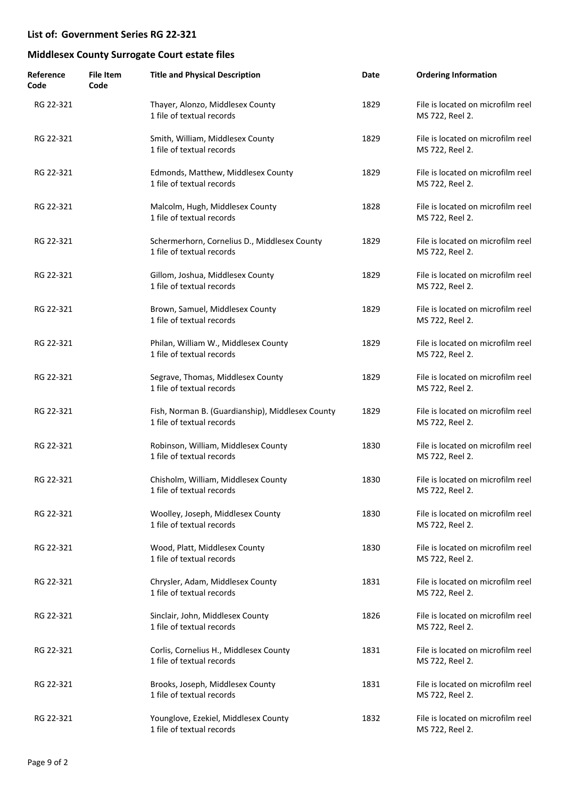| Reference<br>Code | <b>File Item</b><br>Code | <b>Title and Physical Description</b>                                         | Date | <b>Ordering Information</b>                          |
|-------------------|--------------------------|-------------------------------------------------------------------------------|------|------------------------------------------------------|
| RG 22-321         |                          | Thayer, Alonzo, Middlesex County<br>1 file of textual records                 | 1829 | File is located on microfilm reel<br>MS 722, Reel 2. |
| RG 22-321         |                          | Smith, William, Middlesex County<br>1 file of textual records                 | 1829 | File is located on microfilm reel<br>MS 722, Reel 2. |
| RG 22-321         |                          | Edmonds, Matthew, Middlesex County<br>1 file of textual records               | 1829 | File is located on microfilm reel<br>MS 722, Reel 2. |
| RG 22-321         |                          | Malcolm, Hugh, Middlesex County<br>1 file of textual records                  | 1828 | File is located on microfilm reel<br>MS 722, Reel 2. |
| RG 22-321         |                          | Schermerhorn, Cornelius D., Middlesex County<br>1 file of textual records     | 1829 | File is located on microfilm reel<br>MS 722, Reel 2. |
| RG 22-321         |                          | Gillom, Joshua, Middlesex County<br>1 file of textual records                 | 1829 | File is located on microfilm reel<br>MS 722, Reel 2. |
| RG 22-321         |                          | Brown, Samuel, Middlesex County<br>1 file of textual records                  | 1829 | File is located on microfilm reel<br>MS 722, Reel 2. |
| RG 22-321         |                          | Philan, William W., Middlesex County<br>1 file of textual records             | 1829 | File is located on microfilm reel<br>MS 722, Reel 2. |
| RG 22-321         |                          | Segrave, Thomas, Middlesex County<br>1 file of textual records                | 1829 | File is located on microfilm reel<br>MS 722, Reel 2. |
| RG 22-321         |                          | Fish, Norman B. (Guardianship), Middlesex County<br>1 file of textual records | 1829 | File is located on microfilm reel<br>MS 722, Reel 2. |
| RG 22-321         |                          | Robinson, William, Middlesex County<br>1 file of textual records              | 1830 | File is located on microfilm reel<br>MS 722, Reel 2. |
| RG 22-321         |                          | Chisholm, William, Middlesex County<br>1 file of textual records              | 1830 | File is located on microfilm reel<br>MS 722, Reel 2. |
| RG 22-321         |                          | Woolley, Joseph, Middlesex County<br>1 file of textual records                | 1830 | File is located on microfilm reel<br>MS 722, Reel 2. |
| RG 22-321         |                          | Wood, Platt, Middlesex County<br>1 file of textual records                    | 1830 | File is located on microfilm reel<br>MS 722, Reel 2. |
| RG 22-321         |                          | Chrysler, Adam, Middlesex County<br>1 file of textual records                 | 1831 | File is located on microfilm reel<br>MS 722, Reel 2. |
| RG 22-321         |                          | Sinclair, John, Middlesex County<br>1 file of textual records                 | 1826 | File is located on microfilm reel<br>MS 722, Reel 2. |
| RG 22-321         |                          | Corlis, Cornelius H., Middlesex County<br>1 file of textual records           | 1831 | File is located on microfilm reel<br>MS 722, Reel 2. |
| RG 22-321         |                          | Brooks, Joseph, Middlesex County<br>1 file of textual records                 | 1831 | File is located on microfilm reel<br>MS 722, Reel 2. |
| RG 22-321         |                          | Younglove, Ezekiel, Middlesex County<br>1 file of textual records             | 1832 | File is located on microfilm reel<br>MS 722, Reel 2. |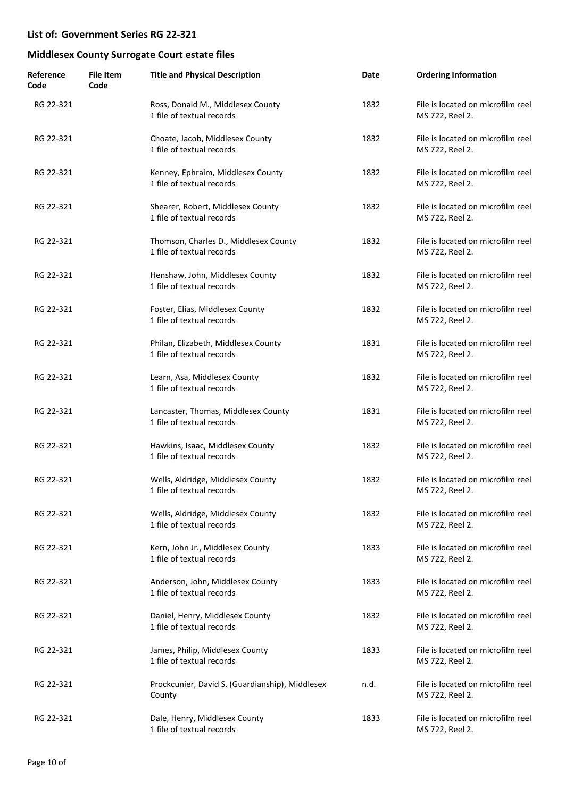| Reference<br>Code | <b>File Item</b><br>Code | <b>Title and Physical Description</b>                              | Date | <b>Ordering Information</b>                          |
|-------------------|--------------------------|--------------------------------------------------------------------|------|------------------------------------------------------|
| RG 22-321         |                          | Ross, Donald M., Middlesex County<br>1 file of textual records     | 1832 | File is located on microfilm reel<br>MS 722, Reel 2. |
| RG 22-321         |                          | Choate, Jacob, Middlesex County<br>1 file of textual records       | 1832 | File is located on microfilm reel<br>MS 722, Reel 2. |
| RG 22-321         |                          | Kenney, Ephraim, Middlesex County<br>1 file of textual records     | 1832 | File is located on microfilm reel<br>MS 722, Reel 2. |
| RG 22-321         |                          | Shearer, Robert, Middlesex County<br>1 file of textual records     | 1832 | File is located on microfilm reel<br>MS 722, Reel 2. |
| RG 22-321         |                          | Thomson, Charles D., Middlesex County<br>1 file of textual records | 1832 | File is located on microfilm reel<br>MS 722, Reel 2. |
| RG 22-321         |                          | Henshaw, John, Middlesex County<br>1 file of textual records       | 1832 | File is located on microfilm reel<br>MS 722, Reel 2. |
| RG 22-321         |                          | Foster, Elias, Middlesex County<br>1 file of textual records       | 1832 | File is located on microfilm reel<br>MS 722, Reel 2. |
| RG 22-321         |                          | Philan, Elizabeth, Middlesex County<br>1 file of textual records   | 1831 | File is located on microfilm reel<br>MS 722, Reel 2. |
| RG 22-321         |                          | Learn, Asa, Middlesex County<br>1 file of textual records          | 1832 | File is located on microfilm reel<br>MS 722, Reel 2. |
| RG 22-321         |                          | Lancaster, Thomas, Middlesex County<br>1 file of textual records   | 1831 | File is located on microfilm reel<br>MS 722, Reel 2. |
| RG 22-321         |                          | Hawkins, Isaac, Middlesex County<br>1 file of textual records      | 1832 | File is located on microfilm reel<br>MS 722, Reel 2. |
| RG 22-321         |                          | Wells, Aldridge, Middlesex County<br>1 file of textual records     | 1832 | File is located on microfilm reel<br>MS 722, Reel 2. |
| RG 22-321         |                          | Wells, Aldridge, Middlesex County<br>1 file of textual records     | 1832 | File is located on microfilm reel<br>MS 722, Reel 2. |
| RG 22-321         |                          | Kern, John Jr., Middlesex County<br>1 file of textual records      | 1833 | File is located on microfilm reel<br>MS 722, Reel 2. |
| RG 22-321         |                          | Anderson, John, Middlesex County<br>1 file of textual records      | 1833 | File is located on microfilm reel<br>MS 722, Reel 2. |
| RG 22-321         |                          | Daniel, Henry, Middlesex County<br>1 file of textual records       | 1832 | File is located on microfilm reel<br>MS 722, Reel 2. |
| RG 22-321         |                          | James, Philip, Middlesex County<br>1 file of textual records       | 1833 | File is located on microfilm reel<br>MS 722, Reel 2. |
| RG 22-321         |                          | Prockcunier, David S. (Guardianship), Middlesex<br>County          | n.d. | File is located on microfilm reel<br>MS 722, Reel 2. |
| RG 22-321         |                          | Dale, Henry, Middlesex County<br>1 file of textual records         | 1833 | File is located on microfilm reel<br>MS 722, Reel 2. |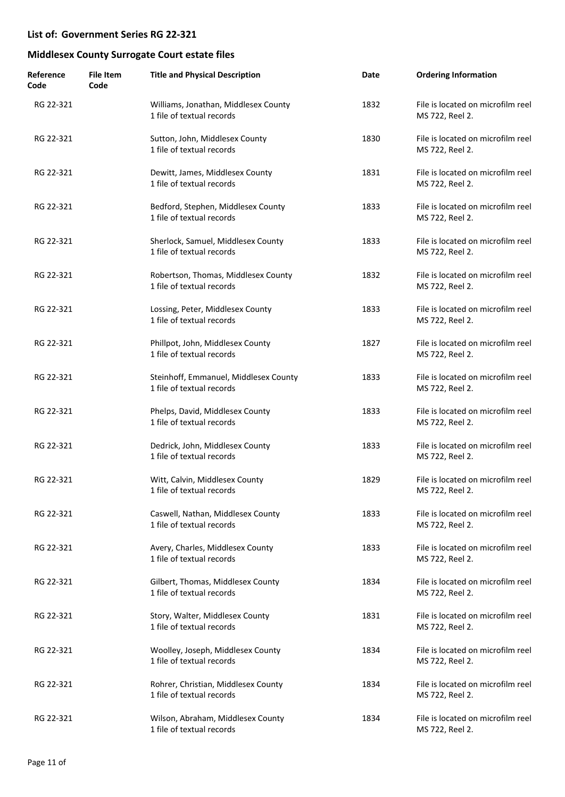| Reference<br>Code | <b>File Item</b><br>Code | <b>Title and Physical Description</b>                              | Date | <b>Ordering Information</b>                          |
|-------------------|--------------------------|--------------------------------------------------------------------|------|------------------------------------------------------|
| RG 22-321         |                          | Williams, Jonathan, Middlesex County<br>1 file of textual records  | 1832 | File is located on microfilm reel<br>MS 722, Reel 2. |
| RG 22-321         |                          | Sutton, John, Middlesex County<br>1 file of textual records        | 1830 | File is located on microfilm reel<br>MS 722, Reel 2. |
| RG 22-321         |                          | Dewitt, James, Middlesex County<br>1 file of textual records       | 1831 | File is located on microfilm reel<br>MS 722, Reel 2. |
| RG 22-321         |                          | Bedford, Stephen, Middlesex County<br>1 file of textual records    | 1833 | File is located on microfilm reel<br>MS 722, Reel 2. |
| RG 22-321         |                          | Sherlock, Samuel, Middlesex County<br>1 file of textual records    | 1833 | File is located on microfilm reel<br>MS 722, Reel 2. |
| RG 22-321         |                          | Robertson, Thomas, Middlesex County<br>1 file of textual records   | 1832 | File is located on microfilm reel<br>MS 722, Reel 2. |
| RG 22-321         |                          | Lossing, Peter, Middlesex County<br>1 file of textual records      | 1833 | File is located on microfilm reel<br>MS 722, Reel 2. |
| RG 22-321         |                          | Phillpot, John, Middlesex County<br>1 file of textual records      | 1827 | File is located on microfilm reel<br>MS 722, Reel 2. |
| RG 22-321         |                          | Steinhoff, Emmanuel, Middlesex County<br>1 file of textual records | 1833 | File is located on microfilm reel<br>MS 722, Reel 2. |
| RG 22-321         |                          | Phelps, David, Middlesex County<br>1 file of textual records       | 1833 | File is located on microfilm reel<br>MS 722, Reel 2. |
| RG 22-321         |                          | Dedrick, John, Middlesex County<br>1 file of textual records       | 1833 | File is located on microfilm reel<br>MS 722, Reel 2. |
| RG 22-321         |                          | Witt, Calvin, Middlesex County<br>1 file of textual records        | 1829 | File is located on microfilm reel<br>MS 722, Reel 2. |
| RG 22-321         |                          | Caswell, Nathan, Middlesex County<br>1 file of textual records     | 1833 | File is located on microfilm reel<br>MS 722, Reel 2. |
| RG 22-321         |                          | Avery, Charles, Middlesex County<br>1 file of textual records      | 1833 | File is located on microfilm reel<br>MS 722, Reel 2. |
| RG 22-321         |                          | Gilbert, Thomas, Middlesex County<br>1 file of textual records     | 1834 | File is located on microfilm reel<br>MS 722, Reel 2. |
| RG 22-321         |                          | Story, Walter, Middlesex County<br>1 file of textual records       | 1831 | File is located on microfilm reel<br>MS 722, Reel 2. |
| RG 22-321         |                          | Woolley, Joseph, Middlesex County<br>1 file of textual records     | 1834 | File is located on microfilm reel<br>MS 722, Reel 2. |
| RG 22-321         |                          | Rohrer, Christian, Middlesex County<br>1 file of textual records   | 1834 | File is located on microfilm reel<br>MS 722, Reel 2. |
| RG 22-321         |                          | Wilson, Abraham, Middlesex County<br>1 file of textual records     | 1834 | File is located on microfilm reel<br>MS 722, Reel 2. |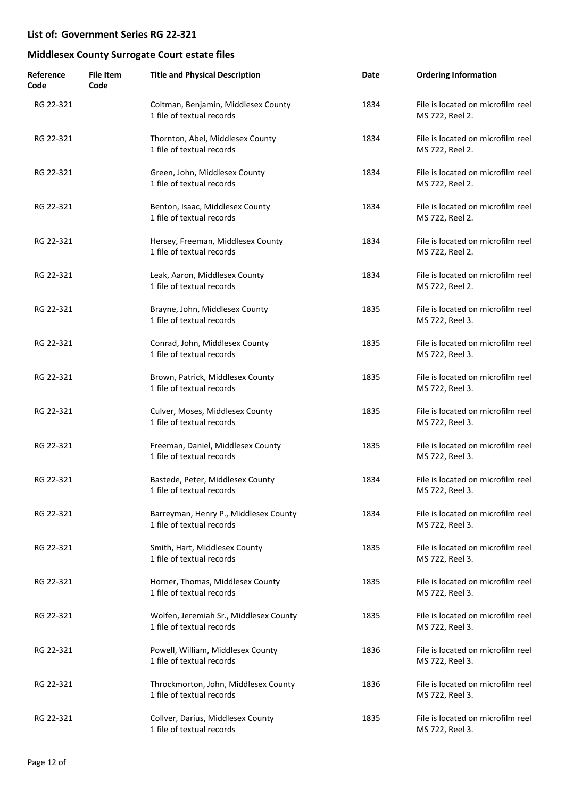| Reference<br>Code | <b>File Item</b><br>Code | <b>Title and Physical Description</b>                               | Date | <b>Ordering Information</b>                          |
|-------------------|--------------------------|---------------------------------------------------------------------|------|------------------------------------------------------|
| RG 22-321         |                          | Coltman, Benjamin, Middlesex County<br>1 file of textual records    | 1834 | File is located on microfilm reel<br>MS 722, Reel 2. |
| RG 22-321         |                          | Thornton, Abel, Middlesex County<br>1 file of textual records       | 1834 | File is located on microfilm reel<br>MS 722, Reel 2. |
| RG 22-321         |                          | Green, John, Middlesex County<br>1 file of textual records          | 1834 | File is located on microfilm reel<br>MS 722, Reel 2. |
| RG 22-321         |                          | Benton, Isaac, Middlesex County<br>1 file of textual records        | 1834 | File is located on microfilm reel<br>MS 722, Reel 2. |
| RG 22-321         |                          | Hersey, Freeman, Middlesex County<br>1 file of textual records      | 1834 | File is located on microfilm reel<br>MS 722, Reel 2. |
| RG 22-321         |                          | Leak, Aaron, Middlesex County<br>1 file of textual records          | 1834 | File is located on microfilm reel<br>MS 722, Reel 2. |
| RG 22-321         |                          | Brayne, John, Middlesex County<br>1 file of textual records         | 1835 | File is located on microfilm reel<br>MS 722, Reel 3. |
| RG 22-321         |                          | Conrad, John, Middlesex County<br>1 file of textual records         | 1835 | File is located on microfilm reel<br>MS 722, Reel 3. |
| RG 22-321         |                          | Brown, Patrick, Middlesex County<br>1 file of textual records       | 1835 | File is located on microfilm reel<br>MS 722, Reel 3. |
| RG 22-321         |                          | Culver, Moses, Middlesex County<br>1 file of textual records        | 1835 | File is located on microfilm reel<br>MS 722, Reel 3. |
| RG 22-321         |                          | Freeman, Daniel, Middlesex County<br>1 file of textual records      | 1835 | File is located on microfilm reel<br>MS 722, Reel 3. |
| RG 22-321         |                          | Bastede, Peter, Middlesex County<br>1 file of textual records       | 1834 | File is located on microfilm reel<br>MS 722, Reel 3. |
| RG 22-321         |                          | Barreyman, Henry P., Middlesex County<br>1 file of textual records  | 1834 | File is located on microfilm reel<br>MS 722, Reel 3. |
| RG 22-321         |                          | Smith, Hart, Middlesex County<br>1 file of textual records          | 1835 | File is located on microfilm reel<br>MS 722, Reel 3. |
| RG 22-321         |                          | Horner, Thomas, Middlesex County<br>1 file of textual records       | 1835 | File is located on microfilm reel<br>MS 722, Reel 3. |
| RG 22-321         |                          | Wolfen, Jeremiah Sr., Middlesex County<br>1 file of textual records | 1835 | File is located on microfilm reel<br>MS 722, Reel 3. |
| RG 22-321         |                          | Powell, William, Middlesex County<br>1 file of textual records      | 1836 | File is located on microfilm reel<br>MS 722, Reel 3. |
| RG 22-321         |                          | Throckmorton, John, Middlesex County<br>1 file of textual records   | 1836 | File is located on microfilm reel<br>MS 722, Reel 3. |
| RG 22-321         |                          | Collver, Darius, Middlesex County<br>1 file of textual records      | 1835 | File is located on microfilm reel<br>MS 722, Reel 3. |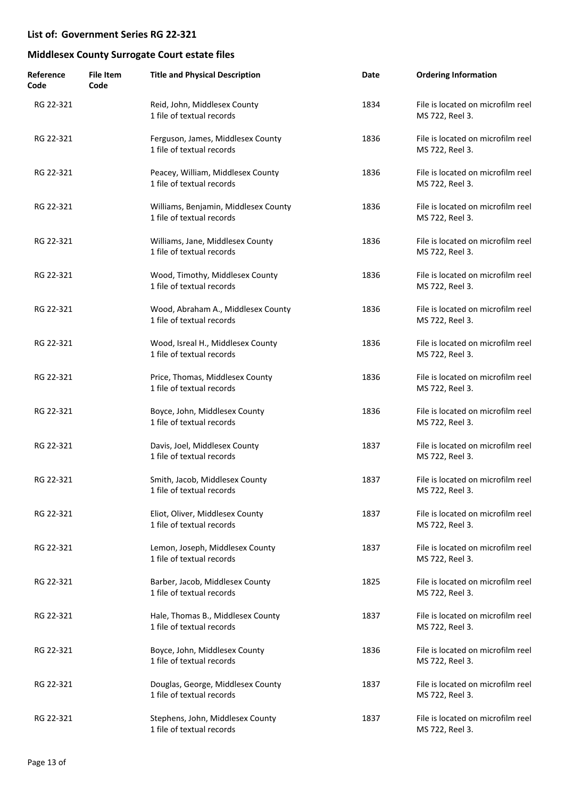| Reference<br>Code | <b>File Item</b><br>Code | <b>Title and Physical Description</b>                             | Date | <b>Ordering Information</b>                          |
|-------------------|--------------------------|-------------------------------------------------------------------|------|------------------------------------------------------|
| RG 22-321         |                          | Reid, John, Middlesex County<br>1 file of textual records         | 1834 | File is located on microfilm reel<br>MS 722, Reel 3. |
| RG 22-321         |                          | Ferguson, James, Middlesex County<br>1 file of textual records    | 1836 | File is located on microfilm reel<br>MS 722, Reel 3. |
| RG 22-321         |                          | Peacey, William, Middlesex County<br>1 file of textual records    | 1836 | File is located on microfilm reel<br>MS 722, Reel 3. |
| RG 22-321         |                          | Williams, Benjamin, Middlesex County<br>1 file of textual records | 1836 | File is located on microfilm reel<br>MS 722, Reel 3. |
| RG 22-321         |                          | Williams, Jane, Middlesex County<br>1 file of textual records     | 1836 | File is located on microfilm reel<br>MS 722, Reel 3. |
| RG 22-321         |                          | Wood, Timothy, Middlesex County<br>1 file of textual records      | 1836 | File is located on microfilm reel<br>MS 722, Reel 3. |
| RG 22-321         |                          | Wood, Abraham A., Middlesex County<br>1 file of textual records   | 1836 | File is located on microfilm reel<br>MS 722, Reel 3. |
| RG 22-321         |                          | Wood, Isreal H., Middlesex County<br>1 file of textual records    | 1836 | File is located on microfilm reel<br>MS 722, Reel 3. |
| RG 22-321         |                          | Price, Thomas, Middlesex County<br>1 file of textual records      | 1836 | File is located on microfilm reel<br>MS 722, Reel 3. |
| RG 22-321         |                          | Boyce, John, Middlesex County<br>1 file of textual records        | 1836 | File is located on microfilm reel<br>MS 722, Reel 3. |
| RG 22-321         |                          | Davis, Joel, Middlesex County<br>1 file of textual records        | 1837 | File is located on microfilm reel<br>MS 722, Reel 3. |
| RG 22-321         |                          | Smith, Jacob, Middlesex County<br>1 file of textual records       | 1837 | File is located on microfilm reel<br>MS 722, Reel 3. |
| RG 22-321         |                          | Eliot, Oliver, Middlesex County<br>1 file of textual records      | 1837 | File is located on microfilm reel<br>MS 722, Reel 3. |
| RG 22-321         |                          | Lemon, Joseph, Middlesex County<br>1 file of textual records      | 1837 | File is located on microfilm reel<br>MS 722, Reel 3. |
| RG 22-321         |                          | Barber, Jacob, Middlesex County<br>1 file of textual records      | 1825 | File is located on microfilm reel<br>MS 722, Reel 3. |
| RG 22-321         |                          | Hale, Thomas B., Middlesex County<br>1 file of textual records    | 1837 | File is located on microfilm reel<br>MS 722, Reel 3. |
| RG 22-321         |                          | Boyce, John, Middlesex County<br>1 file of textual records        | 1836 | File is located on microfilm reel<br>MS 722, Reel 3. |
| RG 22-321         |                          | Douglas, George, Middlesex County<br>1 file of textual records    | 1837 | File is located on microfilm reel<br>MS 722, Reel 3. |
| RG 22-321         |                          | Stephens, John, Middlesex County<br>1 file of textual records     | 1837 | File is located on microfilm reel<br>MS 722, Reel 3. |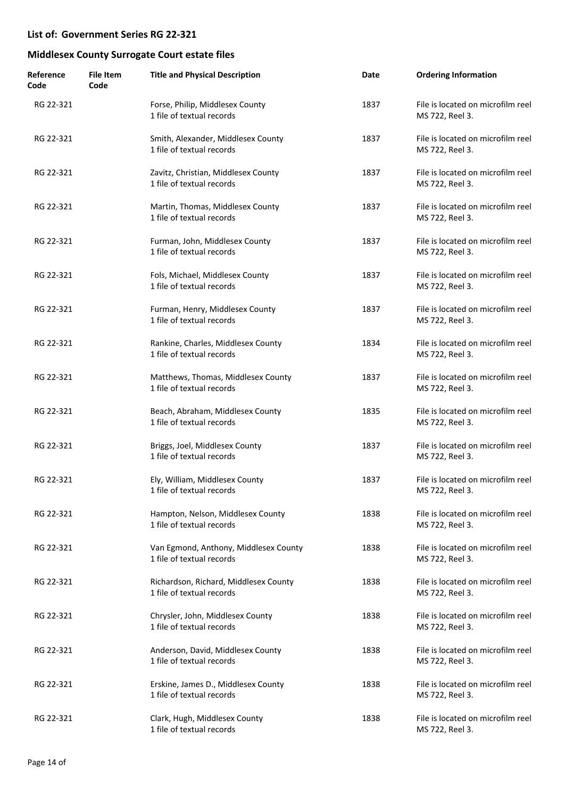| Reference<br>Code | <b>File Item</b><br>Code | <b>Title and Physical Description</b>                              | Date | <b>Ordering Information</b>                          |
|-------------------|--------------------------|--------------------------------------------------------------------|------|------------------------------------------------------|
| RG 22-321         |                          | Forse, Philip, Middlesex County<br>1 file of textual records       | 1837 | File is located on microfilm reel<br>MS 722, Reel 3. |
| RG 22-321         |                          | Smith, Alexander, Middlesex County<br>1 file of textual records    | 1837 | File is located on microfilm reel<br>MS 722, Reel 3. |
| RG 22-321         |                          | Zavitz, Christian, Middlesex County<br>1 file of textual records   | 1837 | File is located on microfilm reel<br>MS 722, Reel 3. |
| RG 22-321         |                          | Martin, Thomas, Middlesex County<br>1 file of textual records      | 1837 | File is located on microfilm reel<br>MS 722, Reel 3. |
| RG 22-321         |                          | Furman, John, Middlesex County<br>1 file of textual records        | 1837 | File is located on microfilm reel<br>MS 722, Reel 3. |
| RG 22-321         |                          | Fols, Michael, Middlesex County<br>1 file of textual records       | 1837 | File is located on microfilm reel<br>MS 722, Reel 3. |
| RG 22-321         |                          | Furman, Henry, Middlesex County<br>1 file of textual records       | 1837 | File is located on microfilm reel<br>MS 722, Reel 3. |
| RG 22-321         |                          | Rankine, Charles, Middlesex County<br>1 file of textual records    | 1834 | File is located on microfilm reel<br>MS 722, Reel 3. |
| RG 22-321         |                          | Matthews, Thomas, Middlesex County<br>1 file of textual records    | 1837 | File is located on microfilm reel<br>MS 722, Reel 3. |
| RG 22-321         |                          | Beach, Abraham, Middlesex County<br>1 file of textual records      | 1835 | File is located on microfilm reel<br>MS 722, Reel 3. |
| RG 22-321         |                          | Briggs, Joel, Middlesex County<br>1 file of textual records        | 1837 | File is located on microfilm reel<br>MS 722, Reel 3. |
| RG 22-321         |                          | Ely, William, Middlesex County<br>1 file of textual records        | 1837 | File is located on microfilm reel<br>MS 722, Reel 3. |
| RG 22-321         |                          | Hampton, Nelson, Middlesex County<br>1 file of textual records     | 1838 | File is located on microfilm reel<br>MS 722, Reel 3. |
| RG 22-321         |                          | Van Egmond, Anthony, Middlesex County<br>1 file of textual records | 1838 | File is located on microfilm reel<br>MS 722, Reel 3. |
| RG 22-321         |                          | Richardson, Richard, Middlesex County<br>1 file of textual records | 1838 | File is located on microfilm reel<br>MS 722, Reel 3. |
| RG 22-321         |                          | Chrysler, John, Middlesex County<br>1 file of textual records      | 1838 | File is located on microfilm reel<br>MS 722, Reel 3. |
| RG 22-321         |                          | Anderson, David, Middlesex County<br>1 file of textual records     | 1838 | File is located on microfilm reel<br>MS 722, Reel 3. |
| RG 22-321         |                          | Erskine, James D., Middlesex County<br>1 file of textual records   | 1838 | File is located on microfilm reel<br>MS 722, Reel 3. |
| RG 22-321         |                          | Clark, Hugh, Middlesex County<br>1 file of textual records         | 1838 | File is located on microfilm reel<br>MS 722, Reel 3. |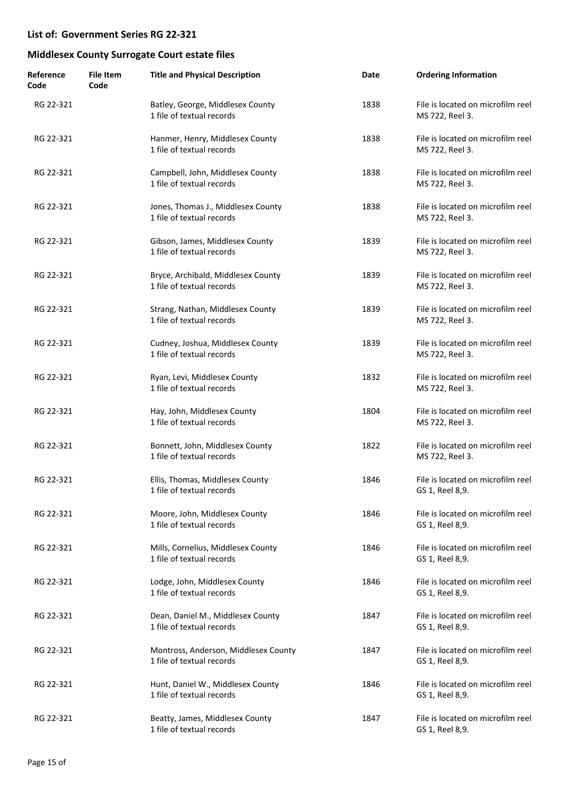| Reference<br>Code | <b>File Item</b><br>Code | <b>Title and Physical Description</b>                             | Date | <b>Ordering Information</b>                          |
|-------------------|--------------------------|-------------------------------------------------------------------|------|------------------------------------------------------|
| RG 22-321         |                          | Batley, George, Middlesex County<br>1 file of textual records     | 1838 | File is located on microfilm reel<br>MS 722, Reel 3. |
| RG 22-321         |                          | Hanmer, Henry, Middlesex County<br>1 file of textual records      | 1838 | File is located on microfilm reel<br>MS 722, Reel 3. |
| RG 22-321         |                          | Campbell, John, Middlesex County<br>1 file of textual records     | 1838 | File is located on microfilm reel<br>MS 722, Reel 3. |
| RG 22-321         |                          | Jones, Thomas J., Middlesex County<br>1 file of textual records   | 1838 | File is located on microfilm reel<br>MS 722, Reel 3. |
| RG 22-321         |                          | Gibson, James, Middlesex County<br>1 file of textual records      | 1839 | File is located on microfilm reel<br>MS 722, Reel 3. |
| RG 22-321         |                          | Bryce, Archibald, Middlesex County<br>1 file of textual records   | 1839 | File is located on microfilm reel<br>MS 722, Reel 3. |
| RG 22-321         |                          | Strang, Nathan, Middlesex County<br>1 file of textual records     | 1839 | File is located on microfilm reel<br>MS 722, Reel 3. |
| RG 22-321         |                          | Cudney, Joshua, Middlesex County<br>1 file of textual records     | 1839 | File is located on microfilm reel<br>MS 722, Reel 3. |
| RG 22-321         |                          | Ryan, Levi, Middlesex County<br>1 file of textual records         | 1832 | File is located on microfilm reel<br>MS 722, Reel 3. |
| RG 22-321         |                          | Hay, John, Middlesex County<br>1 file of textual records          | 1804 | File is located on microfilm reel<br>MS 722, Reel 3. |
| RG 22-321         |                          | Bonnett, John, Middlesex County<br>1 file of textual records      | 1822 | File is located on microfilm reel<br>MS 722, Reel 3. |
| RG 22-321         |                          | Ellis, Thomas, Middlesex County<br>1 file of textual records      | 1846 | File is located on microfilm reel<br>GS 1, Reel 8,9. |
| RG 22-321         |                          | Moore, John, Middlesex County<br>1 file of textual records        | 1846 | File is located on microfilm reel<br>GS 1, Reel 8,9. |
| RG 22-321         |                          | Mills, Cornelius, Middlesex County<br>1 file of textual records   | 1846 | File is located on microfilm reel<br>GS 1, Reel 8,9. |
| RG 22-321         |                          | Lodge, John, Middlesex County<br>1 file of textual records        | 1846 | File is located on microfilm reel<br>GS 1, Reel 8,9. |
| RG 22-321         |                          | Dean, Daniel M., Middlesex County<br>1 file of textual records    | 1847 | File is located on microfilm reel<br>GS 1, Reel 8,9. |
| RG 22-321         |                          | Montross, Anderson, Middlesex County<br>1 file of textual records | 1847 | File is located on microfilm reel<br>GS 1, Reel 8,9. |
| RG 22-321         |                          | Hunt, Daniel W., Middlesex County<br>1 file of textual records    | 1846 | File is located on microfilm reel<br>GS 1, Reel 8,9. |
| RG 22-321         |                          | Beatty, James, Middlesex County<br>1 file of textual records      | 1847 | File is located on microfilm reel<br>GS 1, Reel 8,9. |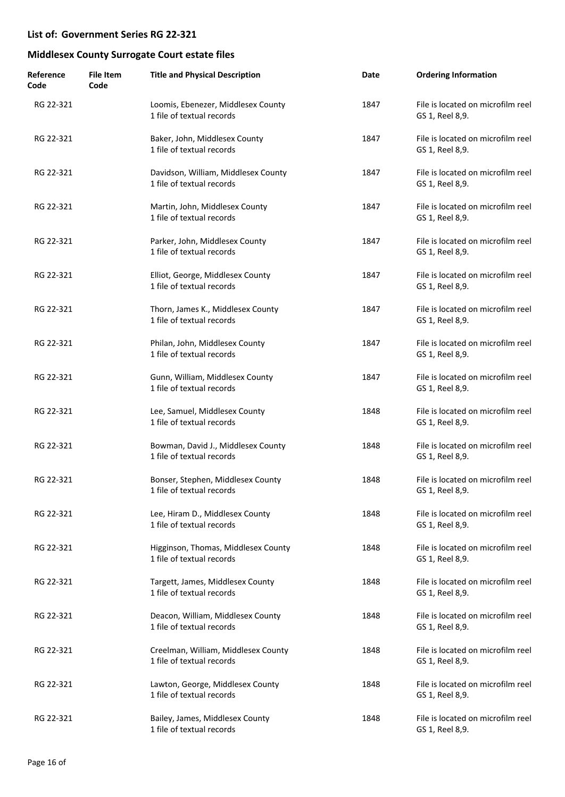| Reference<br>Code | File Item<br>Code | <b>Title and Physical Description</b>                            | Date | <b>Ordering Information</b>                          |
|-------------------|-------------------|------------------------------------------------------------------|------|------------------------------------------------------|
| RG 22-321         |                   | Loomis, Ebenezer, Middlesex County<br>1 file of textual records  | 1847 | File is located on microfilm reel<br>GS 1, Reel 8,9. |
| RG 22-321         |                   | Baker, John, Middlesex County<br>1 file of textual records       | 1847 | File is located on microfilm reel<br>GS 1, Reel 8,9. |
| RG 22-321         |                   | Davidson, William, Middlesex County<br>1 file of textual records | 1847 | File is located on microfilm reel<br>GS 1, Reel 8,9. |
| RG 22-321         |                   | Martin, John, Middlesex County<br>1 file of textual records      | 1847 | File is located on microfilm reel<br>GS 1, Reel 8,9. |
| RG 22-321         |                   | Parker, John, Middlesex County<br>1 file of textual records      | 1847 | File is located on microfilm reel<br>GS 1, Reel 8,9. |
| RG 22-321         |                   | Elliot, George, Middlesex County<br>1 file of textual records    | 1847 | File is located on microfilm reel<br>GS 1, Reel 8,9. |
| RG 22-321         |                   | Thorn, James K., Middlesex County<br>1 file of textual records   | 1847 | File is located on microfilm reel<br>GS 1, Reel 8,9. |
| RG 22-321         |                   | Philan, John, Middlesex County<br>1 file of textual records      | 1847 | File is located on microfilm reel<br>GS 1, Reel 8,9. |
| RG 22-321         |                   | Gunn, William, Middlesex County<br>1 file of textual records     | 1847 | File is located on microfilm reel<br>GS 1, Reel 8,9. |
| RG 22-321         |                   | Lee, Samuel, Middlesex County<br>1 file of textual records       | 1848 | File is located on microfilm reel<br>GS 1, Reel 8,9. |
| RG 22-321         |                   | Bowman, David J., Middlesex County<br>1 file of textual records  | 1848 | File is located on microfilm reel<br>GS 1, Reel 8,9. |
| RG 22-321         |                   | Bonser, Stephen, Middlesex County<br>1 file of textual records   | 1848 | File is located on microfilm reel<br>GS 1, Reel 8,9. |
| RG 22-321         |                   | Lee, Hiram D., Middlesex County<br>1 file of textual records     | 1848 | File is located on microfilm reel<br>GS 1, Reel 8,9. |
| RG 22-321         |                   | Higginson, Thomas, Middlesex County<br>1 file of textual records | 1848 | File is located on microfilm reel<br>GS 1, Reel 8,9. |
| RG 22-321         |                   | Targett, James, Middlesex County<br>1 file of textual records    | 1848 | File is located on microfilm reel<br>GS 1, Reel 8,9. |
| RG 22-321         |                   | Deacon, William, Middlesex County<br>1 file of textual records   | 1848 | File is located on microfilm reel<br>GS 1, Reel 8,9. |
| RG 22-321         |                   | Creelman, William, Middlesex County<br>1 file of textual records | 1848 | File is located on microfilm reel<br>GS 1, Reel 8,9. |
| RG 22-321         |                   | Lawton, George, Middlesex County<br>1 file of textual records    | 1848 | File is located on microfilm reel<br>GS 1, Reel 8,9. |
| RG 22-321         |                   | Bailey, James, Middlesex County<br>1 file of textual records     | 1848 | File is located on microfilm reel<br>GS 1, Reel 8,9. |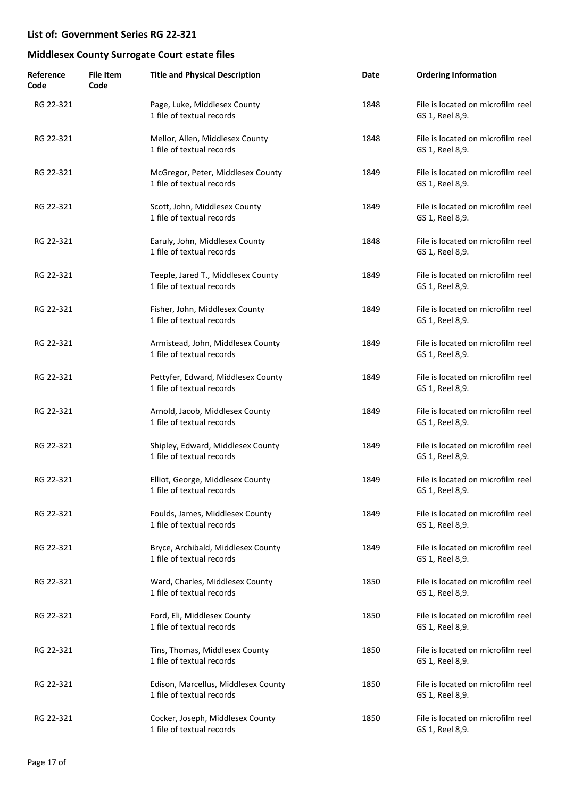| Reference<br>Code | <b>File Item</b><br>Code | <b>Title and Physical Description</b>                            | Date | <b>Ordering Information</b>                          |
|-------------------|--------------------------|------------------------------------------------------------------|------|------------------------------------------------------|
| RG 22-321         |                          | Page, Luke, Middlesex County<br>1 file of textual records        | 1848 | File is located on microfilm reel<br>GS 1, Reel 8,9. |
| RG 22-321         |                          | Mellor, Allen, Middlesex County<br>1 file of textual records     | 1848 | File is located on microfilm reel<br>GS 1, Reel 8,9. |
| RG 22-321         |                          | McGregor, Peter, Middlesex County<br>1 file of textual records   | 1849 | File is located on microfilm reel<br>GS 1, Reel 8,9. |
| RG 22-321         |                          | Scott, John, Middlesex County<br>1 file of textual records       | 1849 | File is located on microfilm reel<br>GS 1, Reel 8,9. |
| RG 22-321         |                          | Earuly, John, Middlesex County<br>1 file of textual records      | 1848 | File is located on microfilm reel<br>GS 1, Reel 8,9. |
| RG 22-321         |                          | Teeple, Jared T., Middlesex County<br>1 file of textual records  | 1849 | File is located on microfilm reel<br>GS 1, Reel 8,9. |
| RG 22-321         |                          | Fisher, John, Middlesex County<br>1 file of textual records      | 1849 | File is located on microfilm reel<br>GS 1, Reel 8,9. |
| RG 22-321         |                          | Armistead, John, Middlesex County<br>1 file of textual records   | 1849 | File is located on microfilm reel<br>GS 1, Reel 8,9. |
| RG 22-321         |                          | Pettyfer, Edward, Middlesex County<br>1 file of textual records  | 1849 | File is located on microfilm reel<br>GS 1, Reel 8,9. |
| RG 22-321         |                          | Arnold, Jacob, Middlesex County<br>1 file of textual records     | 1849 | File is located on microfilm reel<br>GS 1, Reel 8,9. |
| RG 22-321         |                          | Shipley, Edward, Middlesex County<br>1 file of textual records   | 1849 | File is located on microfilm reel<br>GS 1, Reel 8,9. |
| RG 22-321         |                          | Elliot, George, Middlesex County<br>1 file of textual records    | 1849 | File is located on microfilm reel<br>GS 1, Reel 8,9. |
| RG 22-321         |                          | Foulds, James, Middlesex County<br>1 file of textual records     | 1849 | File is located on microfilm reel<br>GS 1, Reel 8,9. |
| RG 22-321         |                          | Bryce, Archibald, Middlesex County<br>1 file of textual records  | 1849 | File is located on microfilm reel<br>GS 1, Reel 8,9. |
| RG 22-321         |                          | Ward, Charles, Middlesex County<br>1 file of textual records     | 1850 | File is located on microfilm reel<br>GS 1, Reel 8,9. |
| RG 22-321         |                          | Ford, Eli, Middlesex County<br>1 file of textual records         | 1850 | File is located on microfilm reel<br>GS 1, Reel 8,9. |
| RG 22-321         |                          | Tins, Thomas, Middlesex County<br>1 file of textual records      | 1850 | File is located on microfilm reel<br>GS 1, Reel 8,9. |
| RG 22-321         |                          | Edison, Marcellus, Middlesex County<br>1 file of textual records | 1850 | File is located on microfilm reel<br>GS 1, Reel 8,9. |
| RG 22-321         |                          | Cocker, Joseph, Middlesex County<br>1 file of textual records    | 1850 | File is located on microfilm reel<br>GS 1, Reel 8,9. |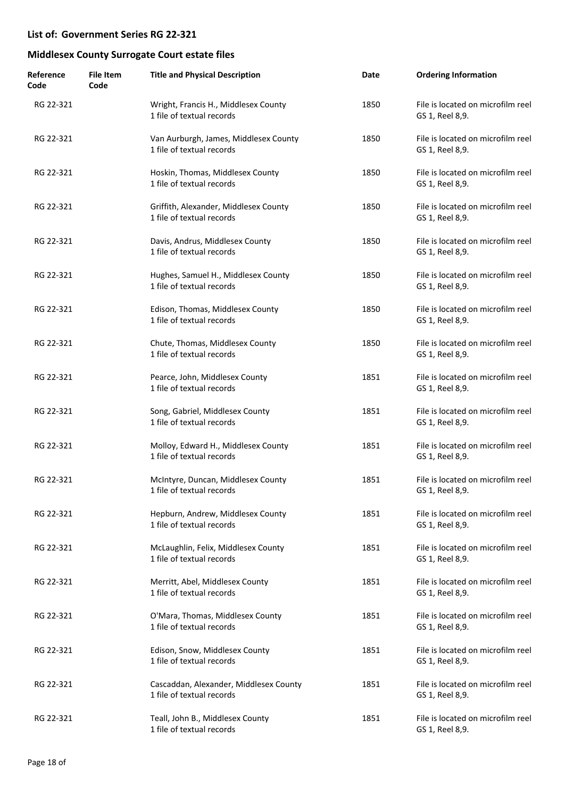| Reference<br>Code | <b>File Item</b><br>Code | <b>Title and Physical Description</b>                               | Date | <b>Ordering Information</b>                          |
|-------------------|--------------------------|---------------------------------------------------------------------|------|------------------------------------------------------|
| RG 22-321         |                          | Wright, Francis H., Middlesex County<br>1 file of textual records   | 1850 | File is located on microfilm reel<br>GS 1, Reel 8,9. |
| RG 22-321         |                          | Van Aurburgh, James, Middlesex County<br>1 file of textual records  | 1850 | File is located on microfilm reel<br>GS 1, Reel 8,9. |
| RG 22-321         |                          | Hoskin, Thomas, Middlesex County<br>1 file of textual records       | 1850 | File is located on microfilm reel<br>GS 1, Reel 8,9. |
| RG 22-321         |                          | Griffith, Alexander, Middlesex County<br>1 file of textual records  | 1850 | File is located on microfilm reel<br>GS 1, Reel 8,9. |
| RG 22-321         |                          | Davis, Andrus, Middlesex County<br>1 file of textual records        | 1850 | File is located on microfilm reel<br>GS 1, Reel 8,9. |
| RG 22-321         |                          | Hughes, Samuel H., Middlesex County<br>1 file of textual records    | 1850 | File is located on microfilm reel<br>GS 1, Reel 8,9. |
| RG 22-321         |                          | Edison, Thomas, Middlesex County<br>1 file of textual records       | 1850 | File is located on microfilm reel<br>GS 1, Reel 8,9. |
| RG 22-321         |                          | Chute, Thomas, Middlesex County<br>1 file of textual records        | 1850 | File is located on microfilm reel<br>GS 1, Reel 8,9. |
| RG 22-321         |                          | Pearce, John, Middlesex County<br>1 file of textual records         | 1851 | File is located on microfilm reel<br>GS 1, Reel 8,9. |
| RG 22-321         |                          | Song, Gabriel, Middlesex County<br>1 file of textual records        | 1851 | File is located on microfilm reel<br>GS 1, Reel 8,9. |
| RG 22-321         |                          | Molloy, Edward H., Middlesex County<br>1 file of textual records    | 1851 | File is located on microfilm reel<br>GS 1, Reel 8,9. |
| RG 22-321         |                          | McIntyre, Duncan, Middlesex County<br>1 file of textual records     | 1851 | File is located on microfilm reel<br>GS 1, Reel 8,9. |
| RG 22-321         |                          | Hepburn, Andrew, Middlesex County<br>1 file of textual records      | 1851 | File is located on microfilm reel<br>GS 1, Reel 8,9. |
| RG 22-321         |                          | McLaughlin, Felix, Middlesex County<br>1 file of textual records    | 1851 | File is located on microfilm reel<br>GS 1, Reel 8,9. |
| RG 22-321         |                          | Merritt, Abel, Middlesex County<br>1 file of textual records        | 1851 | File is located on microfilm reel<br>GS 1, Reel 8,9. |
| RG 22-321         |                          | O'Mara, Thomas, Middlesex County<br>1 file of textual records       | 1851 | File is located on microfilm reel<br>GS 1, Reel 8,9. |
| RG 22-321         |                          | Edison, Snow, Middlesex County<br>1 file of textual records         | 1851 | File is located on microfilm reel<br>GS 1, Reel 8,9. |
| RG 22-321         |                          | Cascaddan, Alexander, Middlesex County<br>1 file of textual records | 1851 | File is located on microfilm reel<br>GS 1, Reel 8,9. |
| RG 22-321         |                          | Teall, John B., Middlesex County<br>1 file of textual records       | 1851 | File is located on microfilm reel<br>GS 1, Reel 8,9. |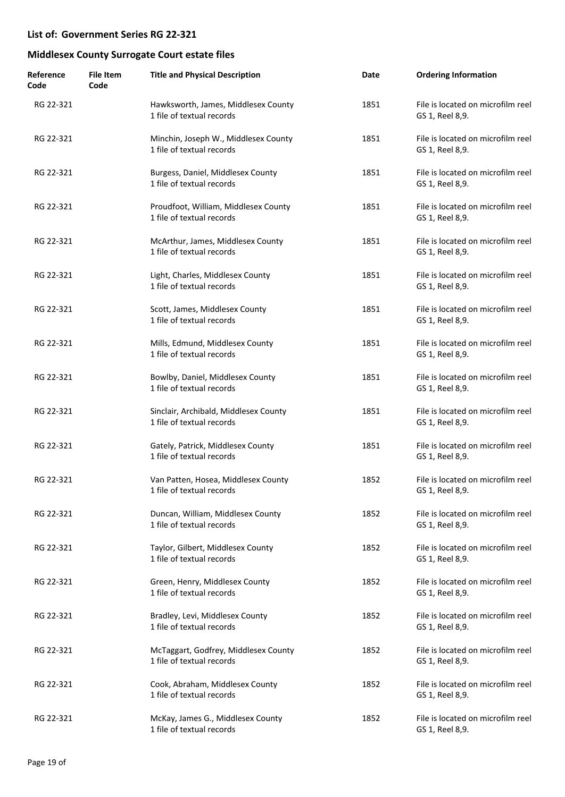| Reference<br>Code | <b>File Item</b><br>Code | <b>Title and Physical Description</b>                              | Date | <b>Ordering Information</b>                          |
|-------------------|--------------------------|--------------------------------------------------------------------|------|------------------------------------------------------|
| RG 22-321         |                          | Hawksworth, James, Middlesex County<br>1 file of textual records   | 1851 | File is located on microfilm reel<br>GS 1, Reel 8,9. |
| RG 22-321         |                          | Minchin, Joseph W., Middlesex County<br>1 file of textual records  | 1851 | File is located on microfilm reel<br>GS 1, Reel 8,9. |
| RG 22-321         |                          | Burgess, Daniel, Middlesex County<br>1 file of textual records     | 1851 | File is located on microfilm reel<br>GS 1, Reel 8,9. |
| RG 22-321         |                          | Proudfoot, William, Middlesex County<br>1 file of textual records  | 1851 | File is located on microfilm reel<br>GS 1, Reel 8,9. |
| RG 22-321         |                          | McArthur, James, Middlesex County<br>1 file of textual records     | 1851 | File is located on microfilm reel<br>GS 1, Reel 8,9. |
| RG 22-321         |                          | Light, Charles, Middlesex County<br>1 file of textual records      | 1851 | File is located on microfilm reel<br>GS 1, Reel 8,9. |
| RG 22-321         |                          | Scott, James, Middlesex County<br>1 file of textual records        | 1851 | File is located on microfilm reel<br>GS 1, Reel 8,9. |
| RG 22-321         |                          | Mills, Edmund, Middlesex County<br>1 file of textual records       | 1851 | File is located on microfilm reel<br>GS 1, Reel 8,9. |
| RG 22-321         |                          | Bowlby, Daniel, Middlesex County<br>1 file of textual records      | 1851 | File is located on microfilm reel<br>GS 1, Reel 8,9. |
| RG 22-321         |                          | Sinclair, Archibald, Middlesex County<br>1 file of textual records | 1851 | File is located on microfilm reel<br>GS 1, Reel 8,9. |
| RG 22-321         |                          | Gately, Patrick, Middlesex County<br>1 file of textual records     | 1851 | File is located on microfilm reel<br>GS 1, Reel 8,9. |
| RG 22-321         |                          | Van Patten, Hosea, Middlesex County<br>1 file of textual records   | 1852 | File is located on microfilm reel<br>GS 1, Reel 8,9. |
| RG 22-321         |                          | Duncan, William, Middlesex County<br>1 file of textual records     | 1852 | File is located on microfilm reel<br>GS 1, Reel 8,9. |
| RG 22-321         |                          | Taylor, Gilbert, Middlesex County<br>1 file of textual records     | 1852 | File is located on microfilm reel<br>GS 1, Reel 8,9. |
| RG 22-321         |                          | Green, Henry, Middlesex County<br>1 file of textual records        | 1852 | File is located on microfilm reel<br>GS 1, Reel 8,9. |
| RG 22-321         |                          | Bradley, Levi, Middlesex County<br>1 file of textual records       | 1852 | File is located on microfilm reel<br>GS 1, Reel 8,9. |
| RG 22-321         |                          | McTaggart, Godfrey, Middlesex County<br>1 file of textual records  | 1852 | File is located on microfilm reel<br>GS 1, Reel 8,9. |
| RG 22-321         |                          | Cook, Abraham, Middlesex County<br>1 file of textual records       | 1852 | File is located on microfilm reel<br>GS 1, Reel 8,9. |
| RG 22-321         |                          | McKay, James G., Middlesex County<br>1 file of textual records     | 1852 | File is located on microfilm reel<br>GS 1, Reel 8,9. |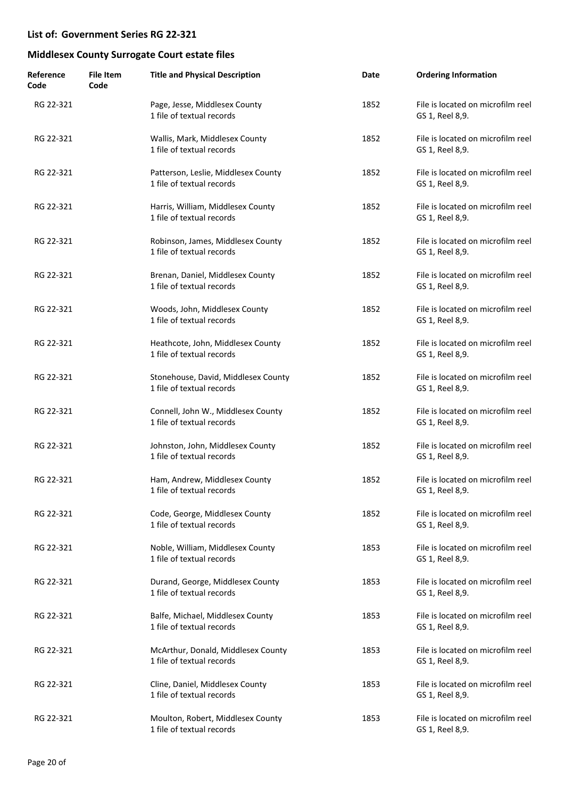| Reference<br>Code | <b>File Item</b><br>Code | <b>Title and Physical Description</b>                            | Date | <b>Ordering Information</b>                          |
|-------------------|--------------------------|------------------------------------------------------------------|------|------------------------------------------------------|
| RG 22-321         |                          | Page, Jesse, Middlesex County<br>1 file of textual records       | 1852 | File is located on microfilm reel<br>GS 1, Reel 8,9. |
| RG 22-321         |                          | Wallis, Mark, Middlesex County<br>1 file of textual records      | 1852 | File is located on microfilm reel<br>GS 1, Reel 8,9. |
| RG 22-321         |                          | Patterson, Leslie, Middlesex County<br>1 file of textual records | 1852 | File is located on microfilm reel<br>GS 1, Reel 8,9. |
| RG 22-321         |                          | Harris, William, Middlesex County<br>1 file of textual records   | 1852 | File is located on microfilm reel<br>GS 1, Reel 8,9. |
| RG 22-321         |                          | Robinson, James, Middlesex County<br>1 file of textual records   | 1852 | File is located on microfilm reel<br>GS 1, Reel 8,9. |
| RG 22-321         |                          | Brenan, Daniel, Middlesex County<br>1 file of textual records    | 1852 | File is located on microfilm reel<br>GS 1, Reel 8,9. |
| RG 22-321         |                          | Woods, John, Middlesex County<br>1 file of textual records       | 1852 | File is located on microfilm reel<br>GS 1, Reel 8,9. |
| RG 22-321         |                          | Heathcote, John, Middlesex County<br>1 file of textual records   | 1852 | File is located on microfilm reel<br>GS 1, Reel 8,9. |
| RG 22-321         |                          | Stonehouse, David, Middlesex County<br>1 file of textual records | 1852 | File is located on microfilm reel<br>GS 1, Reel 8,9. |
| RG 22-321         |                          | Connell, John W., Middlesex County<br>1 file of textual records  | 1852 | File is located on microfilm reel<br>GS 1, Reel 8,9. |
| RG 22-321         |                          | Johnston, John, Middlesex County<br>1 file of textual records    | 1852 | File is located on microfilm reel<br>GS 1, Reel 8,9. |
| RG 22-321         |                          | Ham, Andrew, Middlesex County<br>1 file of textual records       | 1852 | File is located on microfilm reel<br>GS 1, Reel 8,9. |
| RG 22-321         |                          | Code, George, Middlesex County<br>1 file of textual records      | 1852 | File is located on microfilm reel<br>GS 1, Reel 8,9. |
| RG 22-321         |                          | Noble, William, Middlesex County<br>1 file of textual records    | 1853 | File is located on microfilm reel<br>GS 1, Reel 8,9. |
| RG 22-321         |                          | Durand, George, Middlesex County<br>1 file of textual records    | 1853 | File is located on microfilm reel<br>GS 1, Reel 8,9. |
| RG 22-321         |                          | Balfe, Michael, Middlesex County<br>1 file of textual records    | 1853 | File is located on microfilm reel<br>GS 1, Reel 8,9. |
| RG 22-321         |                          | McArthur, Donald, Middlesex County<br>1 file of textual records  | 1853 | File is located on microfilm reel<br>GS 1, Reel 8,9. |
| RG 22-321         |                          | Cline, Daniel, Middlesex County<br>1 file of textual records     | 1853 | File is located on microfilm reel<br>GS 1, Reel 8,9. |
| RG 22-321         |                          | Moulton, Robert, Middlesex County<br>1 file of textual records   | 1853 | File is located on microfilm reel<br>GS 1, Reel 8,9. |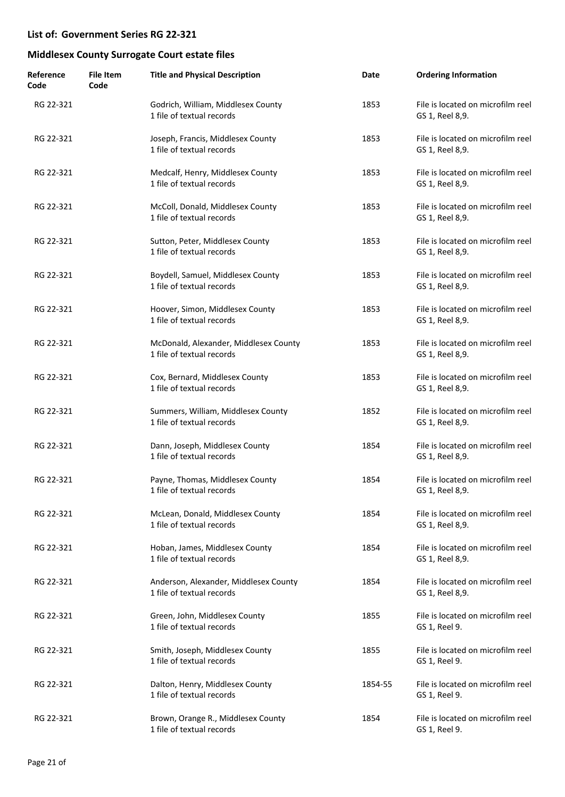| Reference<br>Code | <b>File Item</b><br>Code | <b>Title and Physical Description</b>                              | Date    | <b>Ordering Information</b>                          |
|-------------------|--------------------------|--------------------------------------------------------------------|---------|------------------------------------------------------|
| RG 22-321         |                          | Godrich, William, Middlesex County<br>1 file of textual records    | 1853    | File is located on microfilm reel<br>GS 1, Reel 8,9. |
| RG 22-321         |                          | Joseph, Francis, Middlesex County<br>1 file of textual records     | 1853    | File is located on microfilm reel<br>GS 1, Reel 8,9. |
| RG 22-321         |                          | Medcalf, Henry, Middlesex County<br>1 file of textual records      | 1853    | File is located on microfilm reel<br>GS 1, Reel 8,9. |
| RG 22-321         |                          | McColl, Donald, Middlesex County<br>1 file of textual records      | 1853    | File is located on microfilm reel<br>GS 1, Reel 8,9. |
| RG 22-321         |                          | Sutton, Peter, Middlesex County<br>1 file of textual records       | 1853    | File is located on microfilm reel<br>GS 1, Reel 8,9. |
| RG 22-321         |                          | Boydell, Samuel, Middlesex County<br>1 file of textual records     | 1853    | File is located on microfilm reel<br>GS 1, Reel 8,9. |
| RG 22-321         |                          | Hoover, Simon, Middlesex County<br>1 file of textual records       | 1853    | File is located on microfilm reel<br>GS 1, Reel 8,9. |
| RG 22-321         |                          | McDonald, Alexander, Middlesex County<br>1 file of textual records | 1853    | File is located on microfilm reel<br>GS 1, Reel 8,9. |
| RG 22-321         |                          | Cox, Bernard, Middlesex County<br>1 file of textual records        | 1853    | File is located on microfilm reel<br>GS 1, Reel 8,9. |
| RG 22-321         |                          | Summers, William, Middlesex County<br>1 file of textual records    | 1852    | File is located on microfilm reel<br>GS 1, Reel 8,9. |
| RG 22-321         |                          | Dann, Joseph, Middlesex County<br>1 file of textual records        | 1854    | File is located on microfilm reel<br>GS 1, Reel 8,9. |
| RG 22-321         |                          | Payne, Thomas, Middlesex County<br>1 file of textual records       | 1854    | File is located on microfilm reel<br>GS 1, Reel 8,9. |
| RG 22-321         |                          | McLean, Donald, Middlesex County<br>1 file of textual records      | 1854    | File is located on microfilm reel<br>GS 1, Reel 8,9. |
| RG 22-321         |                          | Hoban, James, Middlesex County<br>1 file of textual records        | 1854    | File is located on microfilm reel<br>GS 1, Reel 8,9. |
| RG 22-321         |                          | Anderson, Alexander, Middlesex County<br>1 file of textual records | 1854    | File is located on microfilm reel<br>GS 1, Reel 8,9. |
| RG 22-321         |                          | Green, John, Middlesex County<br>1 file of textual records         | 1855    | File is located on microfilm reel<br>GS 1, Reel 9.   |
| RG 22-321         |                          | Smith, Joseph, Middlesex County<br>1 file of textual records       | 1855    | File is located on microfilm reel<br>GS 1, Reel 9.   |
| RG 22-321         |                          | Dalton, Henry, Middlesex County<br>1 file of textual records       | 1854-55 | File is located on microfilm reel<br>GS 1, Reel 9.   |
| RG 22-321         |                          | Brown, Orange R., Middlesex County<br>1 file of textual records    | 1854    | File is located on microfilm reel<br>GS 1, Reel 9.   |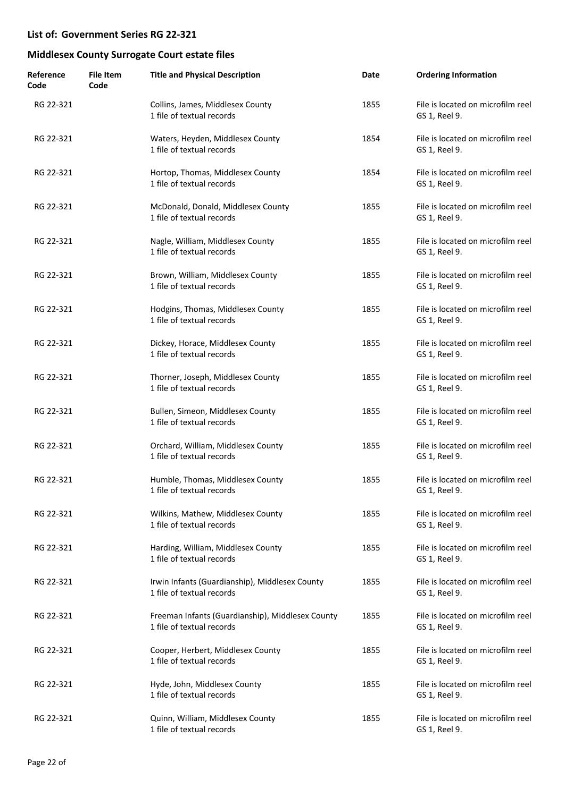| Reference<br>Code | <b>File Item</b><br>Code | <b>Title and Physical Description</b>                                         | Date | <b>Ordering Information</b>                        |
|-------------------|--------------------------|-------------------------------------------------------------------------------|------|----------------------------------------------------|
| RG 22-321         |                          | Collins, James, Middlesex County<br>1 file of textual records                 | 1855 | File is located on microfilm reel<br>GS 1, Reel 9. |
| RG 22-321         |                          | Waters, Heyden, Middlesex County<br>1 file of textual records                 | 1854 | File is located on microfilm reel<br>GS 1, Reel 9. |
| RG 22-321         |                          | Hortop, Thomas, Middlesex County<br>1 file of textual records                 | 1854 | File is located on microfilm reel<br>GS 1, Reel 9. |
| RG 22-321         |                          | McDonald, Donald, Middlesex County<br>1 file of textual records               | 1855 | File is located on microfilm reel<br>GS 1, Reel 9. |
| RG 22-321         |                          | Nagle, William, Middlesex County<br>1 file of textual records                 | 1855 | File is located on microfilm reel<br>GS 1, Reel 9. |
| RG 22-321         |                          | Brown, William, Middlesex County<br>1 file of textual records                 | 1855 | File is located on microfilm reel<br>GS 1, Reel 9. |
| RG 22-321         |                          | Hodgins, Thomas, Middlesex County<br>1 file of textual records                | 1855 | File is located on microfilm reel<br>GS 1, Reel 9. |
| RG 22-321         |                          | Dickey, Horace, Middlesex County<br>1 file of textual records                 | 1855 | File is located on microfilm reel<br>GS 1, Reel 9. |
| RG 22-321         |                          | Thorner, Joseph, Middlesex County<br>1 file of textual records                | 1855 | File is located on microfilm reel<br>GS 1, Reel 9. |
| RG 22-321         |                          | Bullen, Simeon, Middlesex County<br>1 file of textual records                 | 1855 | File is located on microfilm reel<br>GS 1, Reel 9. |
| RG 22-321         |                          | Orchard, William, Middlesex County<br>1 file of textual records               | 1855 | File is located on microfilm reel<br>GS 1, Reel 9. |
| RG 22-321         |                          | Humble, Thomas, Middlesex County<br>1 file of textual records                 | 1855 | File is located on microfilm reel<br>GS 1, Reel 9. |
| RG 22-321         |                          | Wilkins, Mathew, Middlesex County<br>1 file of textual records                | 1855 | File is located on microfilm reel<br>GS 1, Reel 9. |
| RG 22-321         |                          | Harding, William, Middlesex County<br>1 file of textual records               | 1855 | File is located on microfilm reel<br>GS 1, Reel 9. |
| RG 22-321         |                          | Irwin Infants (Guardianship), Middlesex County<br>1 file of textual records   | 1855 | File is located on microfilm reel<br>GS 1, Reel 9. |
| RG 22-321         |                          | Freeman Infants (Guardianship), Middlesex County<br>1 file of textual records | 1855 | File is located on microfilm reel<br>GS 1, Reel 9. |
| RG 22-321         |                          | Cooper, Herbert, Middlesex County<br>1 file of textual records                | 1855 | File is located on microfilm reel<br>GS 1, Reel 9. |
| RG 22-321         |                          | Hyde, John, Middlesex County<br>1 file of textual records                     | 1855 | File is located on microfilm reel<br>GS 1, Reel 9. |
| RG 22-321         |                          | Quinn, William, Middlesex County<br>1 file of textual records                 | 1855 | File is located on microfilm reel<br>GS 1, Reel 9. |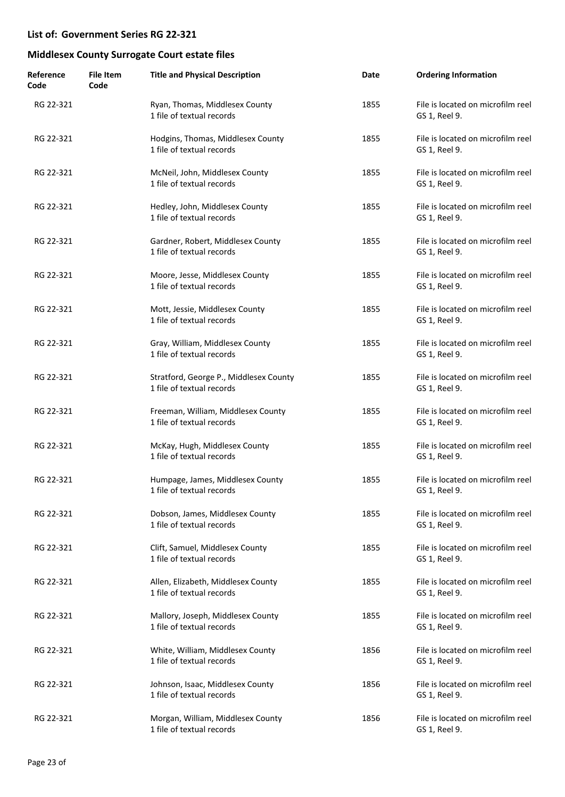| Reference<br>Code | <b>File Item</b><br>Code | <b>Title and Physical Description</b>                               | Date | <b>Ordering Information</b>                        |
|-------------------|--------------------------|---------------------------------------------------------------------|------|----------------------------------------------------|
| RG 22-321         |                          | Ryan, Thomas, Middlesex County<br>1 file of textual records         | 1855 | File is located on microfilm reel<br>GS 1, Reel 9. |
| RG 22-321         |                          | Hodgins, Thomas, Middlesex County<br>1 file of textual records      | 1855 | File is located on microfilm reel<br>GS 1, Reel 9. |
| RG 22-321         |                          | McNeil, John, Middlesex County<br>1 file of textual records         | 1855 | File is located on microfilm reel<br>GS 1, Reel 9. |
| RG 22-321         |                          | Hedley, John, Middlesex County<br>1 file of textual records         | 1855 | File is located on microfilm reel<br>GS 1, Reel 9. |
| RG 22-321         |                          | Gardner, Robert, Middlesex County<br>1 file of textual records      | 1855 | File is located on microfilm reel<br>GS 1, Reel 9. |
| RG 22-321         |                          | Moore, Jesse, Middlesex County<br>1 file of textual records         | 1855 | File is located on microfilm reel<br>GS 1, Reel 9. |
| RG 22-321         |                          | Mott, Jessie, Middlesex County<br>1 file of textual records         | 1855 | File is located on microfilm reel<br>GS 1, Reel 9. |
| RG 22-321         |                          | Gray, William, Middlesex County<br>1 file of textual records        | 1855 | File is located on microfilm reel<br>GS 1, Reel 9. |
| RG 22-321         |                          | Stratford, George P., Middlesex County<br>1 file of textual records | 1855 | File is located on microfilm reel<br>GS 1, Reel 9. |
| RG 22-321         |                          | Freeman, William, Middlesex County<br>1 file of textual records     | 1855 | File is located on microfilm reel<br>GS 1, Reel 9. |
| RG 22-321         |                          | McKay, Hugh, Middlesex County<br>1 file of textual records          | 1855 | File is located on microfilm reel<br>GS 1, Reel 9. |
| RG 22-321         |                          | Humpage, James, Middlesex County<br>1 file of textual records       | 1855 | File is located on microfilm reel<br>GS 1, Reel 9. |
| RG 22-321         |                          | Dobson, James, Middlesex County<br>1 file of textual records        | 1855 | File is located on microfilm reel<br>GS 1, Reel 9. |
| RG 22-321         |                          | Clift, Samuel, Middlesex County<br>1 file of textual records        | 1855 | File is located on microfilm reel<br>GS 1, Reel 9. |
| RG 22-321         |                          | Allen, Elizabeth, Middlesex County<br>1 file of textual records     | 1855 | File is located on microfilm reel<br>GS 1, Reel 9. |
| RG 22-321         |                          | Mallory, Joseph, Middlesex County<br>1 file of textual records      | 1855 | File is located on microfilm reel<br>GS 1, Reel 9. |
| RG 22-321         |                          | White, William, Middlesex County<br>1 file of textual records       | 1856 | File is located on microfilm reel<br>GS 1, Reel 9. |
| RG 22-321         |                          | Johnson, Isaac, Middlesex County<br>1 file of textual records       | 1856 | File is located on microfilm reel<br>GS 1, Reel 9. |
| RG 22-321         |                          | Morgan, William, Middlesex County<br>1 file of textual records      | 1856 | File is located on microfilm reel<br>GS 1, Reel 9. |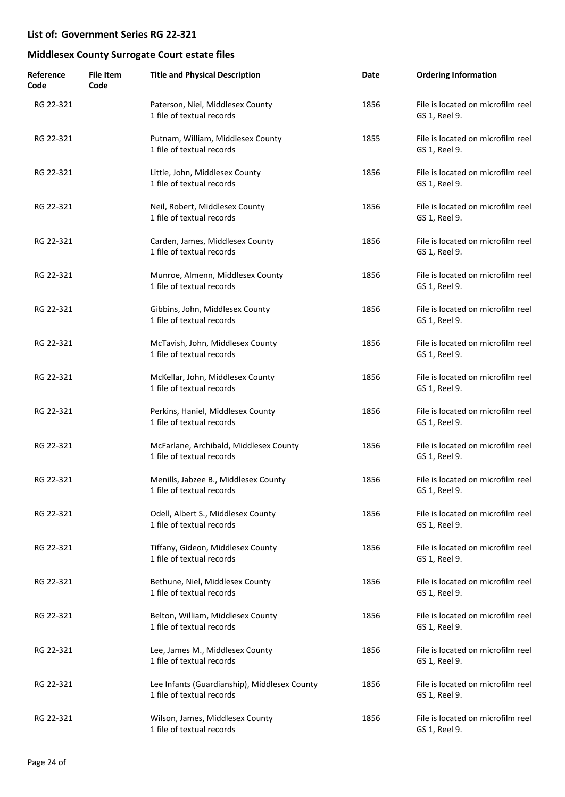| Reference<br>Code | <b>File Item</b><br>Code | <b>Title and Physical Description</b>                                     | Date | <b>Ordering Information</b>                        |
|-------------------|--------------------------|---------------------------------------------------------------------------|------|----------------------------------------------------|
| RG 22-321         |                          | Paterson, Niel, Middlesex County<br>1 file of textual records             | 1856 | File is located on microfilm reel<br>GS 1, Reel 9. |
| RG 22-321         |                          | Putnam, William, Middlesex County<br>1 file of textual records            | 1855 | File is located on microfilm reel<br>GS 1, Reel 9. |
| RG 22-321         |                          | Little, John, Middlesex County<br>1 file of textual records               | 1856 | File is located on microfilm reel<br>GS 1, Reel 9. |
| RG 22-321         |                          | Neil, Robert, Middlesex County<br>1 file of textual records               | 1856 | File is located on microfilm reel<br>GS 1, Reel 9. |
| RG 22-321         |                          | Carden, James, Middlesex County<br>1 file of textual records              | 1856 | File is located on microfilm reel<br>GS 1, Reel 9. |
| RG 22-321         |                          | Munroe, Almenn, Middlesex County<br>1 file of textual records             | 1856 | File is located on microfilm reel<br>GS 1, Reel 9. |
| RG 22-321         |                          | Gibbins, John, Middlesex County<br>1 file of textual records              | 1856 | File is located on microfilm reel<br>GS 1, Reel 9. |
| RG 22-321         |                          | McTavish, John, Middlesex County<br>1 file of textual records             | 1856 | File is located on microfilm reel<br>GS 1, Reel 9. |
| RG 22-321         |                          | McKellar, John, Middlesex County<br>1 file of textual records             | 1856 | File is located on microfilm reel<br>GS 1, Reel 9. |
| RG 22-321         |                          | Perkins, Haniel, Middlesex County<br>1 file of textual records            | 1856 | File is located on microfilm reel<br>GS 1, Reel 9. |
| RG 22-321         |                          | McFarlane, Archibald, Middlesex County<br>1 file of textual records       | 1856 | File is located on microfilm reel<br>GS 1, Reel 9. |
| RG 22-321         |                          | Menills, Jabzee B., Middlesex County<br>1 file of textual records         | 1856 | File is located on microfilm reel<br>GS 1, Reel 9. |
| RG 22-321         |                          | Odell, Albert S., Middlesex County<br>1 file of textual records           | 1856 | File is located on microfilm reel<br>GS 1, Reel 9. |
| RG 22-321         |                          | Tiffany, Gideon, Middlesex County<br>1 file of textual records            | 1856 | File is located on microfilm reel<br>GS 1, Reel 9. |
| RG 22-321         |                          | Bethune, Niel, Middlesex County<br>1 file of textual records              | 1856 | File is located on microfilm reel<br>GS 1, Reel 9. |
| RG 22-321         |                          | Belton, William, Middlesex County<br>1 file of textual records            | 1856 | File is located on microfilm reel<br>GS 1, Reel 9. |
| RG 22-321         |                          | Lee, James M., Middlesex County<br>1 file of textual records              | 1856 | File is located on microfilm reel<br>GS 1, Reel 9. |
| RG 22-321         |                          | Lee Infants (Guardianship), Middlesex County<br>1 file of textual records | 1856 | File is located on microfilm reel<br>GS 1, Reel 9. |
| RG 22-321         |                          | Wilson, James, Middlesex County<br>1 file of textual records              | 1856 | File is located on microfilm reel<br>GS 1, Reel 9. |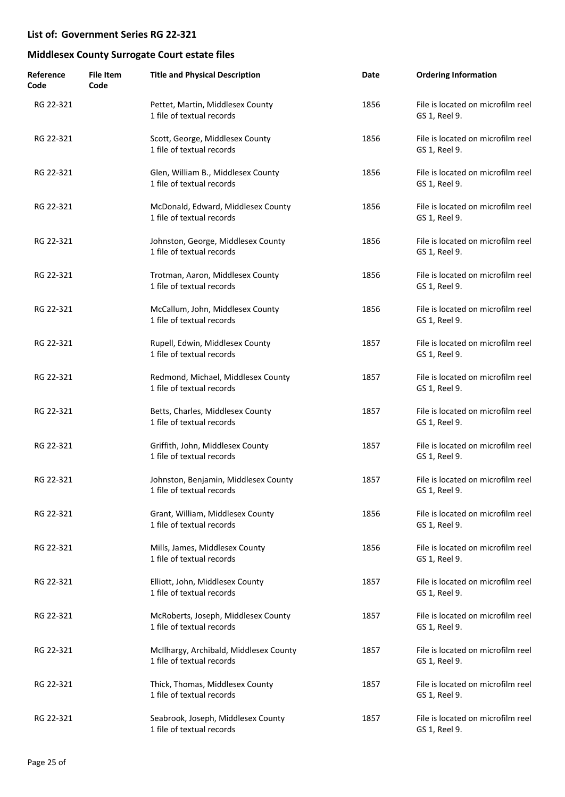| Reference<br>Code | <b>File Item</b><br>Code | <b>Title and Physical Description</b>                               | Date | <b>Ordering Information</b>                        |
|-------------------|--------------------------|---------------------------------------------------------------------|------|----------------------------------------------------|
| RG 22-321         |                          | Pettet, Martin, Middlesex County<br>1 file of textual records       | 1856 | File is located on microfilm reel<br>GS 1, Reel 9. |
| RG 22-321         |                          | Scott, George, Middlesex County<br>1 file of textual records        | 1856 | File is located on microfilm reel<br>GS 1, Reel 9. |
| RG 22-321         |                          | Glen, William B., Middlesex County<br>1 file of textual records     | 1856 | File is located on microfilm reel<br>GS 1, Reel 9. |
| RG 22-321         |                          | McDonald, Edward, Middlesex County<br>1 file of textual records     | 1856 | File is located on microfilm reel<br>GS 1, Reel 9. |
| RG 22-321         |                          | Johnston, George, Middlesex County<br>1 file of textual records     | 1856 | File is located on microfilm reel<br>GS 1, Reel 9. |
| RG 22-321         |                          | Trotman, Aaron, Middlesex County<br>1 file of textual records       | 1856 | File is located on microfilm reel<br>GS 1, Reel 9. |
| RG 22-321         |                          | McCallum, John, Middlesex County<br>1 file of textual records       | 1856 | File is located on microfilm reel<br>GS 1, Reel 9. |
| RG 22-321         |                          | Rupell, Edwin, Middlesex County<br>1 file of textual records        | 1857 | File is located on microfilm reel<br>GS 1, Reel 9. |
| RG 22-321         |                          | Redmond, Michael, Middlesex County<br>1 file of textual records     | 1857 | File is located on microfilm reel<br>GS 1, Reel 9. |
| RG 22-321         |                          | Betts, Charles, Middlesex County<br>1 file of textual records       | 1857 | File is located on microfilm reel<br>GS 1, Reel 9. |
| RG 22-321         |                          | Griffith, John, Middlesex County<br>1 file of textual records       | 1857 | File is located on microfilm reel<br>GS 1, Reel 9. |
| RG 22-321         |                          | Johnston, Benjamin, Middlesex County<br>1 file of textual records   | 1857 | File is located on microfilm reel<br>GS 1, Reel 9. |
| RG 22-321         |                          | Grant, William, Middlesex County<br>1 file of textual records       | 1856 | File is located on microfilm reel<br>GS 1, Reel 9. |
| RG 22-321         |                          | Mills, James, Middlesex County<br>1 file of textual records         | 1856 | File is located on microfilm reel<br>GS 1, Reel 9. |
| RG 22-321         |                          | Elliott, John, Middlesex County<br>1 file of textual records        | 1857 | File is located on microfilm reel<br>GS 1, Reel 9. |
| RG 22-321         |                          | McRoberts, Joseph, Middlesex County<br>1 file of textual records    | 1857 | File is located on microfilm reel<br>GS 1, Reel 9. |
| RG 22-321         |                          | McIlhargy, Archibald, Middlesex County<br>1 file of textual records | 1857 | File is located on microfilm reel<br>GS 1, Reel 9. |
| RG 22-321         |                          | Thick, Thomas, Middlesex County<br>1 file of textual records        | 1857 | File is located on microfilm reel<br>GS 1, Reel 9. |
| RG 22-321         |                          | Seabrook, Joseph, Middlesex County<br>1 file of textual records     | 1857 | File is located on microfilm reel<br>GS 1, Reel 9. |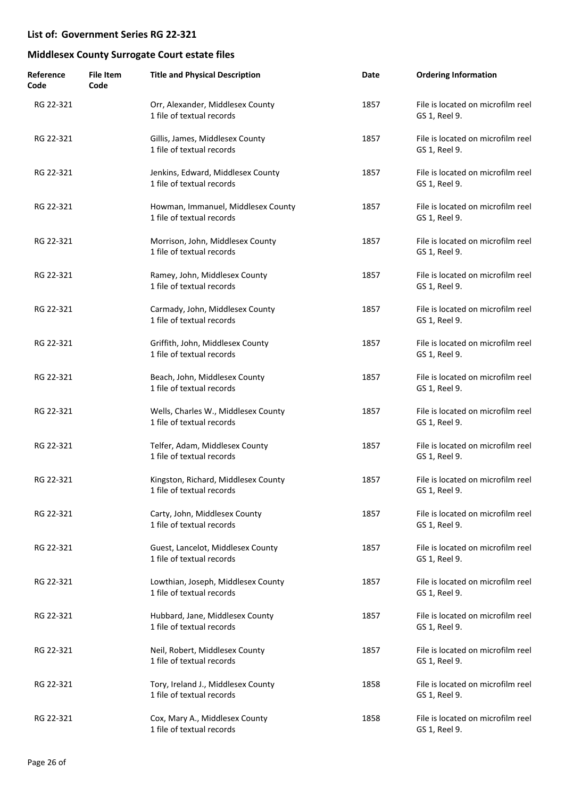| Reference<br>Code | <b>File Item</b><br>Code | <b>Title and Physical Description</b>                            | Date | <b>Ordering Information</b>                        |
|-------------------|--------------------------|------------------------------------------------------------------|------|----------------------------------------------------|
| RG 22-321         |                          | Orr, Alexander, Middlesex County<br>1 file of textual records    | 1857 | File is located on microfilm reel<br>GS 1, Reel 9. |
| RG 22-321         |                          | Gillis, James, Middlesex County<br>1 file of textual records     | 1857 | File is located on microfilm reel<br>GS 1, Reel 9. |
| RG 22-321         |                          | Jenkins, Edward, Middlesex County<br>1 file of textual records   | 1857 | File is located on microfilm reel<br>GS 1, Reel 9. |
| RG 22-321         |                          | Howman, Immanuel, Middlesex County<br>1 file of textual records  | 1857 | File is located on microfilm reel<br>GS 1, Reel 9. |
| RG 22-321         |                          | Morrison, John, Middlesex County<br>1 file of textual records    | 1857 | File is located on microfilm reel<br>GS 1, Reel 9. |
| RG 22-321         |                          | Ramey, John, Middlesex County<br>1 file of textual records       | 1857 | File is located on microfilm reel<br>GS 1, Reel 9. |
| RG 22-321         |                          | Carmady, John, Middlesex County<br>1 file of textual records     | 1857 | File is located on microfilm reel<br>GS 1, Reel 9. |
| RG 22-321         |                          | Griffith, John, Middlesex County<br>1 file of textual records    | 1857 | File is located on microfilm reel<br>GS 1, Reel 9. |
| RG 22-321         |                          | Beach, John, Middlesex County<br>1 file of textual records       | 1857 | File is located on microfilm reel<br>GS 1, Reel 9. |
| RG 22-321         |                          | Wells, Charles W., Middlesex County<br>1 file of textual records | 1857 | File is located on microfilm reel<br>GS 1, Reel 9. |
| RG 22-321         |                          | Telfer, Adam, Middlesex County<br>1 file of textual records      | 1857 | File is located on microfilm reel<br>GS 1, Reel 9. |
| RG 22-321         |                          | Kingston, Richard, Middlesex County<br>1 file of textual records | 1857 | File is located on microfilm reel<br>GS 1, Reel 9. |
| RG 22-321         |                          | Carty, John, Middlesex County<br>1 file of textual records       | 1857 | File is located on microfilm reel<br>GS 1, Reel 9. |
| RG 22-321         |                          | Guest, Lancelot, Middlesex County<br>1 file of textual records   | 1857 | File is located on microfilm reel<br>GS 1, Reel 9. |
| RG 22-321         |                          | Lowthian, Joseph, Middlesex County<br>1 file of textual records  | 1857 | File is located on microfilm reel<br>GS 1, Reel 9. |
| RG 22-321         |                          | Hubbard, Jane, Middlesex County<br>1 file of textual records     | 1857 | File is located on microfilm reel<br>GS 1, Reel 9. |
| RG 22-321         |                          | Neil, Robert, Middlesex County<br>1 file of textual records      | 1857 | File is located on microfilm reel<br>GS 1, Reel 9. |
| RG 22-321         |                          | Tory, Ireland J., Middlesex County<br>1 file of textual records  | 1858 | File is located on microfilm reel<br>GS 1, Reel 9. |
| RG 22-321         |                          | Cox, Mary A., Middlesex County<br>1 file of textual records      | 1858 | File is located on microfilm reel<br>GS 1, Reel 9. |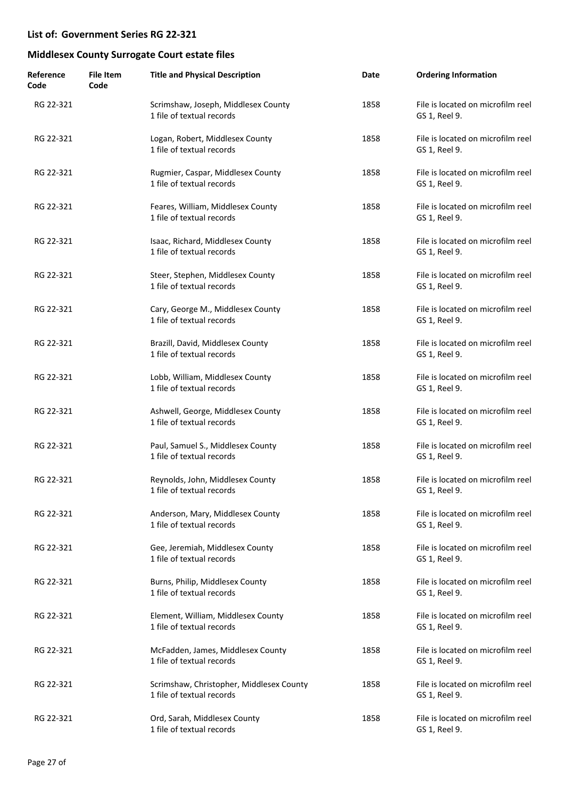| Reference<br>Code | <b>File Item</b><br>Code | <b>Title and Physical Description</b>                                 | Date | <b>Ordering Information</b>                        |
|-------------------|--------------------------|-----------------------------------------------------------------------|------|----------------------------------------------------|
| RG 22-321         |                          | Scrimshaw, Joseph, Middlesex County<br>1 file of textual records      | 1858 | File is located on microfilm reel<br>GS 1, Reel 9. |
| RG 22-321         |                          | Logan, Robert, Middlesex County<br>1 file of textual records          | 1858 | File is located on microfilm reel<br>GS 1, Reel 9. |
| RG 22-321         |                          | Rugmier, Caspar, Middlesex County<br>1 file of textual records        | 1858 | File is located on microfilm reel<br>GS 1, Reel 9. |
| RG 22-321         |                          | Feares, William, Middlesex County<br>1 file of textual records        | 1858 | File is located on microfilm reel<br>GS 1, Reel 9. |
| RG 22-321         |                          | Isaac, Richard, Middlesex County<br>1 file of textual records         | 1858 | File is located on microfilm reel<br>GS 1, Reel 9. |
| RG 22-321         |                          | Steer, Stephen, Middlesex County<br>1 file of textual records         | 1858 | File is located on microfilm reel<br>GS 1, Reel 9. |
| RG 22-321         |                          | Cary, George M., Middlesex County<br>1 file of textual records        | 1858 | File is located on microfilm reel<br>GS 1, Reel 9. |
| RG 22-321         |                          | Brazill, David, Middlesex County<br>1 file of textual records         | 1858 | File is located on microfilm reel<br>GS 1, Reel 9. |
| RG 22-321         |                          | Lobb, William, Middlesex County<br>1 file of textual records          | 1858 | File is located on microfilm reel<br>GS 1, Reel 9. |
| RG 22-321         |                          | Ashwell, George, Middlesex County<br>1 file of textual records        | 1858 | File is located on microfilm reel<br>GS 1, Reel 9. |
| RG 22-321         |                          | Paul, Samuel S., Middlesex County<br>1 file of textual records        | 1858 | File is located on microfilm reel<br>GS 1, Reel 9. |
| RG 22-321         |                          | Reynolds, John, Middlesex County<br>1 file of textual records         | 1858 | File is located on microfilm reel<br>GS 1, Reel 9. |
| RG 22-321         |                          | Anderson, Mary, Middlesex County<br>1 file of textual records         | 1858 | File is located on microfilm reel<br>GS 1, Reel 9. |
| RG 22-321         |                          | Gee, Jeremiah, Middlesex County<br>1 file of textual records          | 1858 | File is located on microfilm reel<br>GS 1, Reel 9. |
| RG 22-321         |                          | Burns, Philip, Middlesex County<br>1 file of textual records          | 1858 | File is located on microfilm reel<br>GS 1, Reel 9. |
| RG 22-321         |                          | Element, William, Middlesex County<br>1 file of textual records       | 1858 | File is located on microfilm reel<br>GS 1, Reel 9. |
| RG 22-321         |                          | McFadden, James, Middlesex County<br>1 file of textual records        | 1858 | File is located on microfilm reel<br>GS 1, Reel 9. |
| RG 22-321         |                          | Scrimshaw, Christopher, Middlesex County<br>1 file of textual records | 1858 | File is located on microfilm reel<br>GS 1, Reel 9. |
| RG 22-321         |                          | Ord, Sarah, Middlesex County<br>1 file of textual records             | 1858 | File is located on microfilm reel<br>GS 1, Reel 9. |